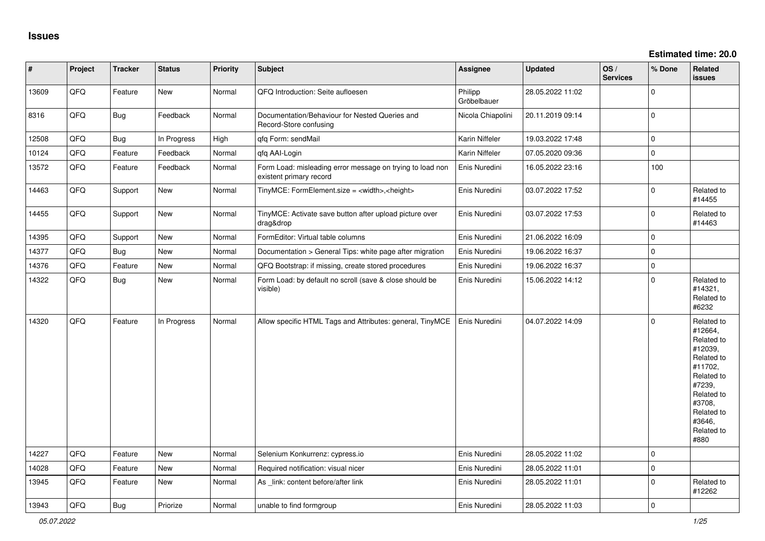| $\vert$ # | Project | <b>Tracker</b> | <b>Status</b> | <b>Priority</b> | <b>Subject</b>                                                                       | <b>Assignee</b>        | <b>Updated</b>   | OS/<br><b>Services</b> | % Done         | Related<br><b>issues</b>                                                                                                                                              |
|-----------|---------|----------------|---------------|-----------------|--------------------------------------------------------------------------------------|------------------------|------------------|------------------------|----------------|-----------------------------------------------------------------------------------------------------------------------------------------------------------------------|
| 13609     | QFQ     | Feature        | <b>New</b>    | Normal          | QFQ Introduction: Seite aufloesen                                                    | Philipp<br>Gröbelbauer | 28.05.2022 11:02 |                        | $\Omega$       |                                                                                                                                                                       |
| 8316      | QFQ     | <b>Bug</b>     | Feedback      | Normal          | Documentation/Behaviour for Nested Queries and<br>Record-Store confusing             | Nicola Chiapolini      | 20.11.2019 09:14 |                        | $\Omega$       |                                                                                                                                                                       |
| 12508     | QFQ     | <b>Bug</b>     | In Progress   | High            | gfg Form: sendMail                                                                   | Karin Niffeler         | 19.03.2022 17:48 |                        | $\Omega$       |                                                                                                                                                                       |
| 10124     | QFQ     | Feature        | Feedback      | Normal          | gfg AAI-Login                                                                        | Karin Niffeler         | 07.05.2020 09:36 |                        | $\mathbf 0$    |                                                                                                                                                                       |
| 13572     | QFQ     | Feature        | Feedback      | Normal          | Form Load: misleading error message on trying to load non<br>existent primary record | Enis Nuredini          | 16.05.2022 23:16 |                        | 100            |                                                                                                                                                                       |
| 14463     | QFQ     | Support        | <b>New</b>    | Normal          | TinyMCE: FormElement.size = <width>,<height></height></width>                        | Enis Nuredini          | 03.07.2022 17:52 |                        | $\Omega$       | Related to<br>#14455                                                                                                                                                  |
| 14455     | QFQ     | Support        | New           | Normal          | TinyMCE: Activate save button after upload picture over<br>drag&drop                 | Enis Nuredini          | 03.07.2022 17:53 |                        | $\Omega$       | Related to<br>#14463                                                                                                                                                  |
| 14395     | QFQ     | Support        | <b>New</b>    | Normal          | FormEditor: Virtual table columns                                                    | Enis Nuredini          | 21.06.2022 16:09 |                        | $\mathbf 0$    |                                                                                                                                                                       |
| 14377     | QFQ     | Bug            | New           | Normal          | Documentation > General Tips: white page after migration                             | Enis Nuredini          | 19.06.2022 16:37 |                        | $\Omega$       |                                                                                                                                                                       |
| 14376     | QFQ     | Feature        | <b>New</b>    | Normal          | QFQ Bootstrap: if missing, create stored procedures                                  | Enis Nuredini          | 19.06.2022 16:37 |                        | $\mathbf 0$    |                                                                                                                                                                       |
| 14322     | QFQ     | Bug            | <b>New</b>    | Normal          | Form Load: by default no scroll (save & close should be<br>visible)                  | Enis Nuredini          | 15.06.2022 14:12 |                        | $\Omega$       | Related to<br>#14321,<br>Related to<br>#6232                                                                                                                          |
| 14320     | QFQ     | Feature        | In Progress   | Normal          | Allow specific HTML Tags and Attributes: general, TinyMCE                            | Enis Nuredini          | 04.07.2022 14:09 |                        | $\mathbf 0$    | Related to<br>#12664,<br>Related to<br>#12039,<br>Related to<br>#11702,<br>Related to<br>#7239,<br>Related to<br>#3708.<br>Related to<br>#3646,<br>Related to<br>#880 |
| 14227     | QFQ     | Feature        | <b>New</b>    | Normal          | Selenium Konkurrenz: cypress.io                                                      | Enis Nuredini          | 28.05.2022 11:02 |                        | $\Omega$       |                                                                                                                                                                       |
| 14028     | QFQ     | Feature        | <b>New</b>    | Normal          | Required notification: visual nicer                                                  | Enis Nuredini          | 28.05.2022 11:01 |                        | $\mathbf 0$    |                                                                                                                                                                       |
| 13945     | QFQ     | Feature        | New           | Normal          | As link: content before/after link                                                   | Enis Nuredini          | 28.05.2022 11:01 |                        | $\Omega$       | Related to<br>#12262                                                                                                                                                  |
| 13943     | QFQ     | <b>Bug</b>     | Priorize      | Normal          | unable to find formgroup                                                             | Enis Nuredini          | 28.05.2022 11:03 |                        | $\overline{0}$ |                                                                                                                                                                       |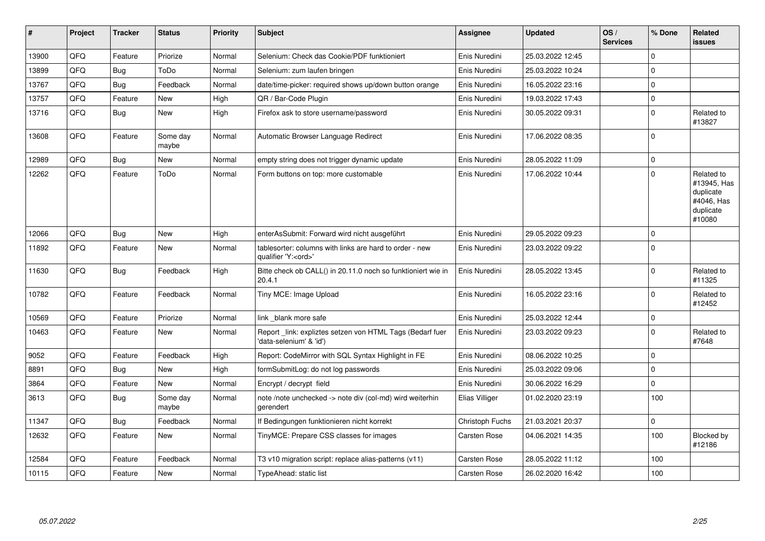| #     | Project | <b>Tracker</b> | <b>Status</b>     | <b>Priority</b> | <b>Subject</b>                                                                        | Assignee        | <b>Updated</b>   | OS/<br><b>Services</b> | % Done      | Related<br><b>issues</b>                                                    |
|-------|---------|----------------|-------------------|-----------------|---------------------------------------------------------------------------------------|-----------------|------------------|------------------------|-------------|-----------------------------------------------------------------------------|
| 13900 | QFQ     | Feature        | Priorize          | Normal          | Selenium: Check das Cookie/PDF funktioniert                                           | Enis Nuredini   | 25.03.2022 12:45 |                        | $\Omega$    |                                                                             |
| 13899 | QFQ     | Bug            | ToDo              | Normal          | Selenium: zum laufen bringen                                                          | Enis Nuredini   | 25.03.2022 10:24 |                        | $\Omega$    |                                                                             |
| 13767 | QFQ     | <b>Bug</b>     | Feedback          | Normal          | date/time-picker: required shows up/down button orange                                | Enis Nuredini   | 16.05.2022 23:16 |                        | $\Omega$    |                                                                             |
| 13757 | QFQ     | Feature        | New               | High            | QR / Bar-Code Plugin                                                                  | Enis Nuredini   | 19.03.2022 17:43 |                        | $\Omega$    |                                                                             |
| 13716 | QFQ     | <b>Bug</b>     | New               | High            | Firefox ask to store username/password                                                | Enis Nuredini   | 30.05.2022 09:31 |                        | $\Omega$    | Related to<br>#13827                                                        |
| 13608 | QFQ     | Feature        | Some day<br>maybe | Normal          | Automatic Browser Language Redirect                                                   | Enis Nuredini   | 17.06.2022 08:35 |                        | $\Omega$    |                                                                             |
| 12989 | QFQ     | Bug            | New               | Normal          | empty string does not trigger dynamic update                                          | Enis Nuredini   | 28.05.2022 11:09 |                        | $\Omega$    |                                                                             |
| 12262 | QFQ     | Feature        | ToDo              | Normal          | Form buttons on top: more customable                                                  | Enis Nuredini   | 17.06.2022 10:44 |                        | $\Omega$    | Related to<br>#13945, Has<br>duplicate<br>#4046, Has<br>duplicate<br>#10080 |
| 12066 | QFQ     | <b>Bug</b>     | New               | High            | enterAsSubmit: Forward wird nicht ausgeführt                                          | Enis Nuredini   | 29.05.2022 09:23 |                        | $\Omega$    |                                                                             |
| 11892 | QFQ     | Feature        | New               | Normal          | tablesorter: columns with links are hard to order - new<br>qualifier 'Y: <ord>'</ord> | Enis Nuredini   | 23.03.2022 09:22 |                        | $\Omega$    |                                                                             |
| 11630 | QFQ     | Bug            | Feedback          | High            | Bitte check ob CALL() in 20.11.0 noch so funktioniert wie in<br>20.4.1                | Enis Nuredini   | 28.05.2022 13:45 |                        | $\Omega$    | Related to<br>#11325                                                        |
| 10782 | QFQ     | Feature        | Feedback          | Normal          | Tiny MCE: Image Upload                                                                | Enis Nuredini   | 16.05.2022 23:16 |                        | $\Omega$    | Related to<br>#12452                                                        |
| 10569 | QFQ     | Feature        | Priorize          | Normal          | link blank more safe                                                                  | Enis Nuredini   | 25.03.2022 12:44 |                        | $\mathbf 0$ |                                                                             |
| 10463 | QFQ     | Feature        | New               | Normal          | Report_link: expliztes setzen von HTML Tags (Bedarf fuer<br>'data-selenium' & 'id')   | Enis Nuredini   | 23.03.2022 09:23 |                        | $\Omega$    | Related to<br>#7648                                                         |
| 9052  | QFQ     | Feature        | Feedback          | High            | Report: CodeMirror with SQL Syntax Highlight in FE                                    | Enis Nuredini   | 08.06.2022 10:25 |                        | $\Omega$    |                                                                             |
| 8891  | QFQ     | Bug            | New               | High            | formSubmitLog: do not log passwords                                                   | Enis Nuredini   | 25.03.2022 09:06 |                        | $\Omega$    |                                                                             |
| 3864  | QFQ     | Feature        | New               | Normal          | Encrypt / decrypt field                                                               | Enis Nuredini   | 30.06.2022 16:29 |                        | $\Omega$    |                                                                             |
| 3613  | QFQ     | Bug            | Some day<br>maybe | Normal          | note /note unchecked -> note div (col-md) wird weiterhin<br>aerendert                 | Elias Villiger  | 01.02.2020 23:19 |                        | 100         |                                                                             |
| 11347 | QFQ     | Bug            | Feedback          | Normal          | If Bedingungen funktionieren nicht korrekt                                            | Christoph Fuchs | 21.03.2021 20:37 |                        | $\mathbf 0$ |                                                                             |
| 12632 | QFQ     | Feature        | New               | Normal          | TinyMCE: Prepare CSS classes for images                                               | Carsten Rose    | 04.06.2021 14:35 |                        | 100         | Blocked by<br>#12186                                                        |
| 12584 | QFQ     | Feature        | Feedback          | Normal          | T3 v10 migration script: replace alias-patterns (v11)                                 | Carsten Rose    | 28.05.2022 11:12 |                        | 100         |                                                                             |
| 10115 | QFQ     | Feature        | New               | Normal          | TypeAhead: static list                                                                | Carsten Rose    | 26.02.2020 16:42 |                        | 100         |                                                                             |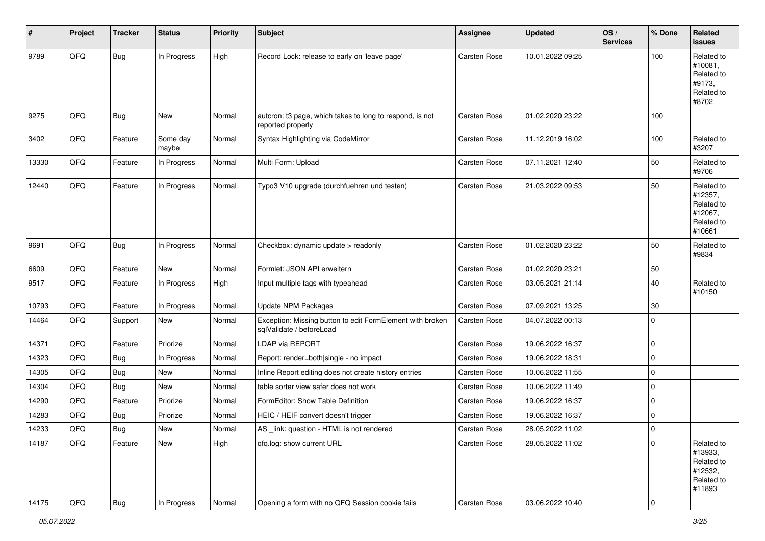| #     | Project | <b>Tracker</b> | <b>Status</b>     | <b>Priority</b> | <b>Subject</b>                                                                        | <b>Assignee</b> | <b>Updated</b>   | OS/<br><b>Services</b> | % Done      | Related<br>issues                                                      |
|-------|---------|----------------|-------------------|-----------------|---------------------------------------------------------------------------------------|-----------------|------------------|------------------------|-------------|------------------------------------------------------------------------|
| 9789  | QFQ     | <b>Bug</b>     | In Progress       | High            | Record Lock: release to early on 'leave page'                                         | Carsten Rose    | 10.01.2022 09:25 |                        | 100         | Related to<br>#10081,<br>Related to<br>#9173,<br>Related to<br>#8702   |
| 9275  | QFQ     | <b>Bug</b>     | New               | Normal          | autcron: t3 page, which takes to long to respond, is not<br>reported properly         | Carsten Rose    | 01.02.2020 23:22 |                        | 100         |                                                                        |
| 3402  | QFQ     | Feature        | Some day<br>maybe | Normal          | Syntax Highlighting via CodeMirror                                                    | Carsten Rose    | 11.12.2019 16:02 |                        | 100         | Related to<br>#3207                                                    |
| 13330 | QFQ     | Feature        | In Progress       | Normal          | Multi Form: Upload                                                                    | Carsten Rose    | 07.11.2021 12:40 |                        | 50          | Related to<br>#9706                                                    |
| 12440 | QFQ     | Feature        | In Progress       | Normal          | Typo3 V10 upgrade (durchfuehren und testen)                                           | Carsten Rose    | 21.03.2022 09:53 |                        | 50          | Related to<br>#12357,<br>Related to<br>#12067,<br>Related to<br>#10661 |
| 9691  | QFQ     | <b>Bug</b>     | In Progress       | Normal          | Checkbox: dynamic update > readonly                                                   | Carsten Rose    | 01.02.2020 23:22 |                        | 50          | Related to<br>#9834                                                    |
| 6609  | QFQ     | Feature        | New               | Normal          | Formlet: JSON API erweitern                                                           | Carsten Rose    | 01.02.2020 23:21 |                        | 50          |                                                                        |
| 9517  | QFQ     | Feature        | In Progress       | High            | Input multiple tags with typeahead                                                    | Carsten Rose    | 03.05.2021 21:14 |                        | 40          | Related to<br>#10150                                                   |
| 10793 | QFQ     | Feature        | In Progress       | Normal          | <b>Update NPM Packages</b>                                                            | Carsten Rose    | 07.09.2021 13:25 |                        | 30          |                                                                        |
| 14464 | QFQ     | Support        | New               | Normal          | Exception: Missing button to edit FormElement with broken<br>sqlValidate / beforeLoad | Carsten Rose    | 04.07.2022 00:13 |                        | $\mathbf 0$ |                                                                        |
| 14371 | QFQ     | Feature        | Priorize          | Normal          | LDAP via REPORT                                                                       | Carsten Rose    | 19.06.2022 16:37 |                        | $\pmb{0}$   |                                                                        |
| 14323 | QFQ     | <b>Bug</b>     | In Progress       | Normal          | Report: render=both single - no impact                                                | Carsten Rose    | 19.06.2022 18:31 |                        | $\mathbf 0$ |                                                                        |
| 14305 | QFQ     | Bug            | New               | Normal          | Inline Report editing does not create history entries                                 | Carsten Rose    | 10.06.2022 11:55 |                        | $\pmb{0}$   |                                                                        |
| 14304 | QFQ     | <b>Bug</b>     | New               | Normal          | table sorter view safer does not work                                                 | Carsten Rose    | 10.06.2022 11:49 |                        | $\pmb{0}$   |                                                                        |
| 14290 | QFQ     | Feature        | Priorize          | Normal          | FormEditor: Show Table Definition                                                     | Carsten Rose    | 19.06.2022 16:37 |                        | 0           |                                                                        |
| 14283 | QFQ     | <b>Bug</b>     | Priorize          | Normal          | HEIC / HEIF convert doesn't trigger                                                   | Carsten Rose    | 19.06.2022 16:37 |                        | $\pmb{0}$   |                                                                        |
| 14233 | QFQ     | <b>Bug</b>     | New               | Normal          | AS _link: question - HTML is not rendered                                             | Carsten Rose    | 28.05.2022 11:02 |                        | $\mathbf 0$ |                                                                        |
| 14187 | QFQ     | Feature        | New               | High            | qfq.log: show current URL                                                             | Carsten Rose    | 28.05.2022 11:02 |                        | $\pmb{0}$   | Related to<br>#13933,<br>Related to<br>#12532,<br>Related to<br>#11893 |
| 14175 | QFQ     | <b>Bug</b>     | In Progress       | Normal          | Opening a form with no QFQ Session cookie fails                                       | Carsten Rose    | 03.06.2022 10:40 |                        | $\pmb{0}$   |                                                                        |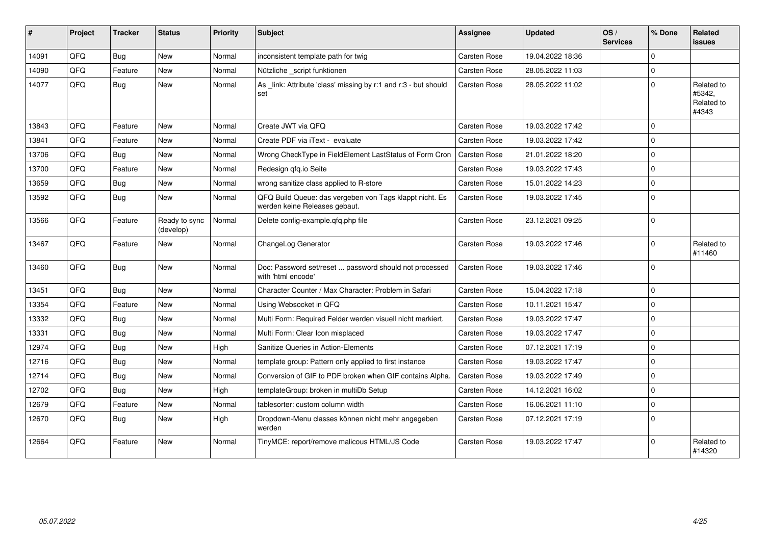| $\sharp$ | Project | <b>Tracker</b> | <b>Status</b>              | <b>Priority</b> | <b>Subject</b>                                                                           | Assignee            | <b>Updated</b>   | OS/<br><b>Services</b> | % Done      | <b>Related</b><br><b>issues</b>             |
|----------|---------|----------------|----------------------------|-----------------|------------------------------------------------------------------------------------------|---------------------|------------------|------------------------|-------------|---------------------------------------------|
| 14091    | QFQ     | <b>Bug</b>     | <b>New</b>                 | Normal          | inconsistent template path for twig                                                      | <b>Carsten Rose</b> | 19.04.2022 18:36 |                        | $\Omega$    |                                             |
| 14090    | QFQ     | Feature        | <b>New</b>                 | Normal          | Nützliche _script funktionen                                                             | Carsten Rose        | 28.05.2022 11:03 |                        | $\mathbf 0$ |                                             |
| 14077    | QFQ     | <b>Bug</b>     | <b>New</b>                 | Normal          | As _link: Attribute 'class' missing by r:1 and r:3 - but should<br>set                   | Carsten Rose        | 28.05.2022 11:02 |                        | $\mathbf 0$ | Related to<br>#5342,<br>Related to<br>#4343 |
| 13843    | QFQ     | Feature        | New                        | Normal          | Create JWT via QFQ                                                                       | Carsten Rose        | 19.03.2022 17:42 |                        | $\mathbf 0$ |                                             |
| 13841    | QFQ     | Feature        | New                        | Normal          | Create PDF via iText - evaluate                                                          | <b>Carsten Rose</b> | 19.03.2022 17:42 |                        | $\mathbf 0$ |                                             |
| 13706    | QFQ     | <b>Bug</b>     | New                        | Normal          | Wrong CheckType in FieldElement LastStatus of Form Cron                                  | Carsten Rose        | 21.01.2022 18:20 |                        | $\mathsf 0$ |                                             |
| 13700    | QFQ     | Feature        | <b>New</b>                 | Normal          | Redesign qfq.io Seite                                                                    | Carsten Rose        | 19.03.2022 17:43 |                        | $\mathbf 0$ |                                             |
| 13659    | QFQ     | <b>Bug</b>     | <b>New</b>                 | Normal          | wrong sanitize class applied to R-store                                                  | <b>Carsten Rose</b> | 15.01.2022 14:23 |                        | $\mathbf 0$ |                                             |
| 13592    | QFQ     | <b>Bug</b>     | New                        | Normal          | QFQ Build Queue: das vergeben von Tags klappt nicht. Es<br>werden keine Releases gebaut. | Carsten Rose        | 19.03.2022 17:45 |                        | $\mathbf 0$ |                                             |
| 13566    | QFQ     | Feature        | Ready to sync<br>(develop) | Normal          | Delete config-example.qfq.php file                                                       | <b>Carsten Rose</b> | 23.12.2021 09:25 |                        | $\mathbf 0$ |                                             |
| 13467    | QFQ     | Feature        | <b>New</b>                 | Normal          | ChangeLog Generator                                                                      | Carsten Rose        | 19.03.2022 17:46 |                        | $\mathbf 0$ | Related to<br>#11460                        |
| 13460    | QFQ     | <b>Bug</b>     | <b>New</b>                 | Normal          | Doc: Password set/reset  password should not processed<br>with 'html encode'             | Carsten Rose        | 19.03.2022 17:46 |                        | $\mathbf 0$ |                                             |
| 13451    | QFQ     | Bug            | <b>New</b>                 | Normal          | Character Counter / Max Character: Problem in Safari                                     | Carsten Rose        | 15.04.2022 17:18 |                        | $\mathbf 0$ |                                             |
| 13354    | QFQ     | Feature        | <b>New</b>                 | Normal          | Using Websocket in QFQ                                                                   | <b>Carsten Rose</b> | 10.11.2021 15:47 |                        | $\mathsf 0$ |                                             |
| 13332    | QFQ     | Bug            | New                        | Normal          | Multi Form: Required Felder werden visuell nicht markiert.                               | <b>Carsten Rose</b> | 19.03.2022 17:47 |                        | $\mathbf 0$ |                                             |
| 13331    | QFQ     | Bug            | New                        | Normal          | Multi Form: Clear Icon misplaced                                                         | <b>Carsten Rose</b> | 19.03.2022 17:47 |                        | $\mathbf 0$ |                                             |
| 12974    | QFQ     | Bug            | <b>New</b>                 | High            | Sanitize Queries in Action-Elements                                                      | <b>Carsten Rose</b> | 07.12.2021 17:19 |                        | $\mathbf 0$ |                                             |
| 12716    | QFQ     | <b>Bug</b>     | New                        | Normal          | template group: Pattern only applied to first instance                                   | Carsten Rose        | 19.03.2022 17:47 |                        | $\mathbf 0$ |                                             |
| 12714    | QFQ     | <b>Bug</b>     | New                        | Normal          | Conversion of GIF to PDF broken when GIF contains Alpha.                                 | <b>Carsten Rose</b> | 19.03.2022 17:49 |                        | $\mathbf 0$ |                                             |
| 12702    | QFQ     | Bug            | New                        | High            | templateGroup: broken in multiDb Setup                                                   | <b>Carsten Rose</b> | 14.12.2021 16:02 |                        | $\mathbf 0$ |                                             |
| 12679    | QFQ     | Feature        | New                        | Normal          | tablesorter: custom column width                                                         | <b>Carsten Rose</b> | 16.06.2021 11:10 |                        | $\mathbf 0$ |                                             |
| 12670    | QFQ     | Bug            | New                        | High            | Dropdown-Menu classes können nicht mehr angegeben<br>werden                              | <b>Carsten Rose</b> | 07.12.2021 17:19 |                        | $\mathbf 0$ |                                             |
| 12664    | QFQ     | Feature        | New                        | Normal          | TinyMCE: report/remove malicous HTML/JS Code                                             | Carsten Rose        | 19.03.2022 17:47 |                        | $\Omega$    | Related to<br>#14320                        |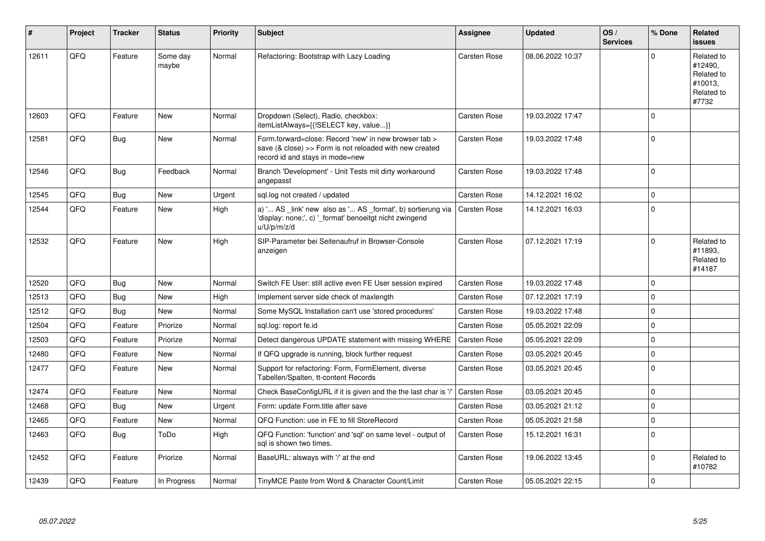| ∦     | Project | <b>Tracker</b> | <b>Status</b>     | <b>Priority</b> | <b>Subject</b>                                                                                                                                      | <b>Assignee</b>     | <b>Updated</b>   | OS/<br><b>Services</b> | % Done      | Related<br><b>issues</b>                                              |
|-------|---------|----------------|-------------------|-----------------|-----------------------------------------------------------------------------------------------------------------------------------------------------|---------------------|------------------|------------------------|-------------|-----------------------------------------------------------------------|
| 12611 | QFQ     | Feature        | Some day<br>maybe | Normal          | Refactoring: Bootstrap with Lazy Loading                                                                                                            | Carsten Rose        | 08.06.2022 10:37 |                        | $\Omega$    | Related to<br>#12490,<br>Related to<br>#10013.<br>Related to<br>#7732 |
| 12603 | QFQ     | Feature        | <b>New</b>        | Normal          | Dropdown (Select), Radio, checkbox:<br>itemListAlways={{!SELECT key, value}}                                                                        | Carsten Rose        | 19.03.2022 17:47 |                        | $\Omega$    |                                                                       |
| 12581 | QFQ     | <b>Bug</b>     | New               | Normal          | Form.forward=close: Record 'new' in new browser tab ><br>save (& close) >> Form is not reloaded with new created<br>record id and stays in mode=new | Carsten Rose        | 19.03.2022 17:48 |                        | $\mathbf 0$ |                                                                       |
| 12546 | QFQ     | Bug            | Feedback          | Normal          | Branch 'Development' - Unit Tests mit dirty workaround<br>angepasst                                                                                 | Carsten Rose        | 19.03.2022 17:48 |                        | $\mathbf 0$ |                                                                       |
| 12545 | QFQ     | Bug            | <b>New</b>        | Urgent          | sql.log not created / updated                                                                                                                       | Carsten Rose        | 14.12.2021 16:02 |                        | $\Omega$    |                                                                       |
| 12544 | QFQ     | Feature        | New               | High            | a) ' AS _link' new also as ' AS _format', b) sortierung via<br>'display: none;', c) '_format' benoeitgt nicht zwingend<br>u/U/p/m/z/d               | Carsten Rose        | 14.12.2021 16:03 |                        | $\Omega$    |                                                                       |
| 12532 | QFQ     | Feature        | <b>New</b>        | High            | SIP-Parameter bei Seitenaufruf in Browser-Console<br>anzeigen                                                                                       | Carsten Rose        | 07.12.2021 17:19 |                        | $\Omega$    | Related to<br>#11893,<br>Related to<br>#14187                         |
| 12520 | QFQ     | <b>Bug</b>     | <b>New</b>        | Normal          | Switch FE User: still active even FE User session expired                                                                                           | Carsten Rose        | 19.03.2022 17:48 |                        | $\Omega$    |                                                                       |
| 12513 | QFQ     | Bug            | <b>New</b>        | High            | Implement server side check of maxlength                                                                                                            | Carsten Rose        | 07.12.2021 17:19 |                        | $\Omega$    |                                                                       |
| 12512 | QFQ     | Bug            | New               | Normal          | Some MySQL Installation can't use 'stored procedures'                                                                                               | Carsten Rose        | 19.03.2022 17:48 |                        | $\Omega$    |                                                                       |
| 12504 | QFQ     | Feature        | Priorize          | Normal          | sgl.log: report fe.id                                                                                                                               | Carsten Rose        | 05.05.2021 22:09 |                        | $\mathbf 0$ |                                                                       |
| 12503 | QFQ     | Feature        | Priorize          | Normal          | Detect dangerous UPDATE statement with missing WHERE                                                                                                | Carsten Rose        | 05.05.2021 22:09 |                        | $\mathbf 0$ |                                                                       |
| 12480 | QFQ     | Feature        | <b>New</b>        | Normal          | If QFQ upgrade is running, block further request                                                                                                    | Carsten Rose        | 03.05.2021 20:45 |                        | $\Omega$    |                                                                       |
| 12477 | QFQ     | Feature        | New               | Normal          | Support for refactoring: Form, FormElement, diverse<br>Tabellen/Spalten, tt-content Records                                                         | Carsten Rose        | 03.05.2021 20:45 |                        | $\Omega$    |                                                                       |
| 12474 | QFQ     | Feature        | <b>New</b>        | Normal          | Check BaseConfigURL if it is given and the the last char is '/'                                                                                     | <b>Carsten Rose</b> | 03.05.2021 20:45 |                        | $\Omega$    |                                                                       |
| 12468 | QFQ     | <b>Bug</b>     | <b>New</b>        | Urgent          | Form: update Form.title after save                                                                                                                  | Carsten Rose        | 03.05.2021 21:12 |                        | $\mathbf 0$ |                                                                       |
| 12465 | QFQ     | Feature        | New               | Normal          | QFQ Function: use in FE to fill StoreRecord                                                                                                         | Carsten Rose        | 05.05.2021 21:58 |                        | $\mathbf 0$ |                                                                       |
| 12463 | QFQ     | <b>Bug</b>     | ToDo              | High            | QFQ Function: 'function' and 'sgl' on same level - output of<br>sal is shown two times.                                                             | Carsten Rose        | 15.12.2021 16:31 |                        | $\Omega$    |                                                                       |
| 12452 | QFQ     | Feature        | Priorize          | Normal          | BaseURL: alsways with '/' at the end                                                                                                                | Carsten Rose        | 19.06.2022 13:45 |                        | $\Omega$    | Related to<br>#10782                                                  |
| 12439 | QFQ     | Feature        | In Progress       | Normal          | TinyMCE Paste from Word & Character Count/Limit                                                                                                     | Carsten Rose        | 05.05.2021 22:15 |                        | $\mathbf 0$ |                                                                       |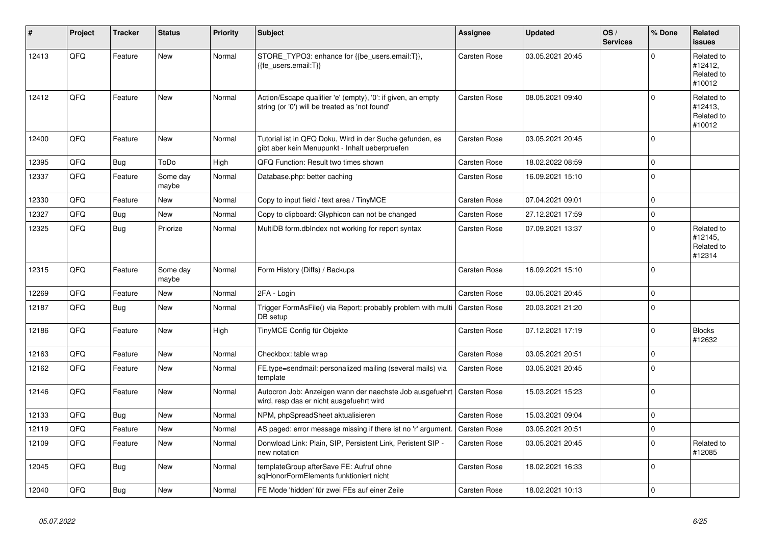| #     | Project | <b>Tracker</b> | <b>Status</b>     | <b>Priority</b> | <b>Subject</b>                                                                                                 | <b>Assignee</b>     | <b>Updated</b>   | OS/<br><b>Services</b> | % Done       | Related<br><b>issues</b>                      |
|-------|---------|----------------|-------------------|-----------------|----------------------------------------------------------------------------------------------------------------|---------------------|------------------|------------------------|--------------|-----------------------------------------------|
| 12413 | QFQ     | Feature        | New               | Normal          | STORE_TYPO3: enhance for {{be_users.email:T}},<br>{{fe users.email:T}}                                         | Carsten Rose        | 03.05.2021 20:45 |                        | $\Omega$     | Related to<br>#12412,<br>Related to<br>#10012 |
| 12412 | QFQ     | Feature        | New               | Normal          | Action/Escape qualifier 'e' (empty), '0': if given, an empty<br>string (or '0') will be treated as 'not found' | <b>Carsten Rose</b> | 08.05.2021 09:40 |                        | $\Omega$     | Related to<br>#12413.<br>Related to<br>#10012 |
| 12400 | QFQ     | Feature        | <b>New</b>        | Normal          | Tutorial ist in QFQ Doku, Wird in der Suche gefunden, es<br>gibt aber kein Menupunkt - Inhalt ueberpruefen     | Carsten Rose        | 03.05.2021 20:45 |                        | $\mathbf 0$  |                                               |
| 12395 | QFQ     | <b>Bug</b>     | ToDo              | High            | QFQ Function: Result two times shown                                                                           | Carsten Rose        | 18.02.2022 08:59 |                        | $\mathbf 0$  |                                               |
| 12337 | QFQ     | Feature        | Some day<br>maybe | Normal          | Database.php: better caching                                                                                   | Carsten Rose        | 16.09.2021 15:10 |                        | $\mathbf 0$  |                                               |
| 12330 | QFQ     | Feature        | <b>New</b>        | Normal          | Copy to input field / text area / TinyMCE                                                                      | <b>Carsten Rose</b> | 07.04.2021 09:01 |                        | $\mathbf 0$  |                                               |
| 12327 | QFQ     | Bug            | New               | Normal          | Copy to clipboard: Glyphicon can not be changed                                                                | Carsten Rose        | 27.12.2021 17:59 |                        | $\mathbf 0$  |                                               |
| 12325 | QFQ     | Bug            | Priorize          | Normal          | MultiDB form.dblndex not working for report syntax                                                             | Carsten Rose        | 07.09.2021 13:37 |                        | $\Omega$     | Related to<br>#12145.<br>Related to<br>#12314 |
| 12315 | QFQ     | Feature        | Some day<br>maybe | Normal          | Form History (Diffs) / Backups                                                                                 | Carsten Rose        | 16.09.2021 15:10 |                        | $\mathbf 0$  |                                               |
| 12269 | QFQ     | Feature        | <b>New</b>        | Normal          | 2FA - Login                                                                                                    | Carsten Rose        | 03.05.2021 20:45 |                        | $\mathbf 0$  |                                               |
| 12187 | QFQ     | Bug            | New               | Normal          | Trigger FormAsFile() via Report: probably problem with multi<br>DB setup                                       | Carsten Rose        | 20.03.2021 21:20 |                        | $\mathbf 0$  |                                               |
| 12186 | QFQ     | Feature        | <b>New</b>        | High            | TinyMCE Config für Objekte                                                                                     | Carsten Rose        | 07.12.2021 17:19 |                        | $\mathbf 0$  | <b>Blocks</b><br>#12632                       |
| 12163 | QFQ     | Feature        | <b>New</b>        | Normal          | Checkbox: table wrap                                                                                           | Carsten Rose        | 03.05.2021 20:51 |                        | $\mathbf 0$  |                                               |
| 12162 | QFQ     | Feature        | <b>New</b>        | Normal          | FE.type=sendmail: personalized mailing (several mails) via<br>template                                         | Carsten Rose        | 03.05.2021 20:45 |                        | $\mathbf 0$  |                                               |
| 12146 | QFQ     | Feature        | <b>New</b>        | Normal          | Autocron Job: Anzeigen wann der naechste Job ausgefuehrt<br>wird, resp das er nicht ausgefuehrt wird           | Carsten Rose        | 15.03.2021 15:23 |                        | $\mathbf{0}$ |                                               |
| 12133 | QFQ     | <b>Bug</b>     | <b>New</b>        | Normal          | NPM, phpSpreadSheet aktualisieren                                                                              | Carsten Rose        | 15.03.2021 09:04 |                        | $\mathbf 0$  |                                               |
| 12119 | QFQ     | Feature        | <b>New</b>        | Normal          | AS paged: error message missing if there ist no 'r' argument.                                                  | Carsten Rose        | 03.05.2021 20:51 |                        | $\mathbf 0$  |                                               |
| 12109 | QFQ     | Feature        | New               | Normal          | Donwload Link: Plain, SIP, Persistent Link, Peristent SIP -<br>new notation                                    | Carsten Rose        | 03.05.2021 20:45 |                        | $\mathbf 0$  | Related to<br>#12085                          |
| 12045 | QFQ     | Bug            | <b>New</b>        | Normal          | templateGroup afterSave FE: Aufruf ohne<br>sglHonorFormElements funktioniert nicht                             | Carsten Rose        | 18.02.2021 16:33 |                        | $\mathbf 0$  |                                               |
| 12040 | QFQ     | Bug            | New               | Normal          | FE Mode 'hidden' für zwei FEs auf einer Zeile                                                                  | <b>Carsten Rose</b> | 18.02.2021 10:13 |                        | $\pmb{0}$    |                                               |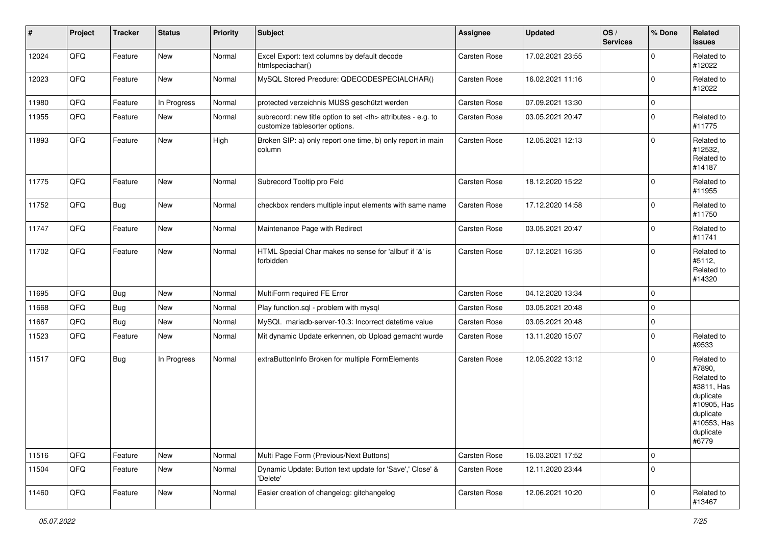| $\vert$ # | Project | <b>Tracker</b> | <b>Status</b> | <b>Priority</b> | <b>Subject</b>                                                                                       | <b>Assignee</b>                                        | <b>Updated</b>   | OS/<br><b>Services</b> | % Done      | Related<br><b>issues</b>                                                                                                       |                      |
|-----------|---------|----------------|---------------|-----------------|------------------------------------------------------------------------------------------------------|--------------------------------------------------------|------------------|------------------------|-------------|--------------------------------------------------------------------------------------------------------------------------------|----------------------|
| 12024     | QFQ     | Feature        | New           | Normal          | Excel Export: text columns by default decode<br>htmlspeciachar()                                     | Carsten Rose                                           | 17.02.2021 23:55 |                        | $\mathbf 0$ | Related to<br>#12022                                                                                                           |                      |
| 12023     | QFQ     | Feature        | New           | Normal          | MySQL Stored Precdure: QDECODESPECIALCHAR()                                                          | Carsten Rose                                           | 16.02.2021 11:16 |                        | $\mathbf 0$ | Related to<br>#12022                                                                                                           |                      |
| 11980     | QFQ     | Feature        | In Progress   | Normal          | protected verzeichnis MUSS geschützt werden                                                          | Carsten Rose                                           | 07.09.2021 13:30 |                        | $\mathbf 0$ |                                                                                                                                |                      |
| 11955     | QFQ     | Feature        | New           | Normal          | subrecord: new title option to set <th> attributes - e.g. to<br/>customize tablesorter options.</th> | attributes - e.g. to<br>customize tablesorter options. | Carsten Rose     | 03.05.2021 20:47       |             | $\pmb{0}$                                                                                                                      | Related to<br>#11775 |
| 11893     | QFQ     | Feature        | New           | High            | Broken SIP: a) only report one time, b) only report in main<br>column                                | Carsten Rose                                           | 12.05.2021 12:13 |                        | $\pmb{0}$   | Related to<br>#12532,<br>Related to<br>#14187                                                                                  |                      |
| 11775     | QFQ     | Feature        | New           | Normal          | Subrecord Tooltip pro Feld                                                                           | Carsten Rose                                           | 18.12.2020 15:22 |                        | $\pmb{0}$   | Related to<br>#11955                                                                                                           |                      |
| 11752     | QFQ     | <b>Bug</b>     | New           | Normal          | checkbox renders multiple input elements with same name                                              | Carsten Rose                                           | 17.12.2020 14:58 |                        | $\pmb{0}$   | Related to<br>#11750                                                                                                           |                      |
| 11747     | QFQ     | Feature        | New           | Normal          | Maintenance Page with Redirect                                                                       | Carsten Rose                                           | 03.05.2021 20:47 |                        | $\mathbf 0$ | Related to<br>#11741                                                                                                           |                      |
| 11702     | QFQ     | Feature        | New           | Normal          | HTML Special Char makes no sense for 'allbut' if '&' is<br>forbidden                                 | Carsten Rose                                           | 07.12.2021 16:35 |                        | $\mathbf 0$ | Related to<br>#5112,<br>Related to<br>#14320                                                                                   |                      |
| 11695     | QFQ     | <b>Bug</b>     | New           | Normal          | MultiForm required FE Error                                                                          | Carsten Rose                                           | 04.12.2020 13:34 |                        | 0           |                                                                                                                                |                      |
| 11668     | QFQ     | Bug            | New           | Normal          | Play function.sql - problem with mysql                                                               | Carsten Rose                                           | 03.05.2021 20:48 |                        | $\pmb{0}$   |                                                                                                                                |                      |
| 11667     | QFQ     | Bug            | New           | Normal          | MySQL mariadb-server-10.3: Incorrect datetime value                                                  | Carsten Rose                                           | 03.05.2021 20:48 |                        | 0           |                                                                                                                                |                      |
| 11523     | QFQ     | Feature        | New           | Normal          | Mit dynamic Update erkennen, ob Upload gemacht wurde                                                 | Carsten Rose                                           | 13.11.2020 15:07 |                        | 0           | Related to<br>#9533                                                                                                            |                      |
| 11517     | QFQ     | <b>Bug</b>     | In Progress   | Normal          | extraButtonInfo Broken for multiple FormElements                                                     | Carsten Rose                                           | 12.05.2022 13:12 |                        | $\mathbf 0$ | Related to<br>#7890,<br>Related to<br>#3811, Has<br>duplicate<br>#10905, Has<br>duplicate<br>#10553, Has<br>duplicate<br>#6779 |                      |
| 11516     | QFQ     | Feature        | New           | Normal          | Multi Page Form (Previous/Next Buttons)                                                              | Carsten Rose                                           | 16.03.2021 17:52 |                        | $\mathsf 0$ |                                                                                                                                |                      |
| 11504     | QFQ     | Feature        | New           | Normal          | Dynamic Update: Button text update for 'Save',' Close' &<br>'Delete'                                 | Carsten Rose                                           | 12.11.2020 23:44 |                        | $\pmb{0}$   |                                                                                                                                |                      |
| 11460     | QFQ     | Feature        | New           | Normal          | Easier creation of changelog: gitchangelog                                                           | Carsten Rose                                           | 12.06.2021 10:20 |                        | $\pmb{0}$   | Related to<br>#13467                                                                                                           |                      |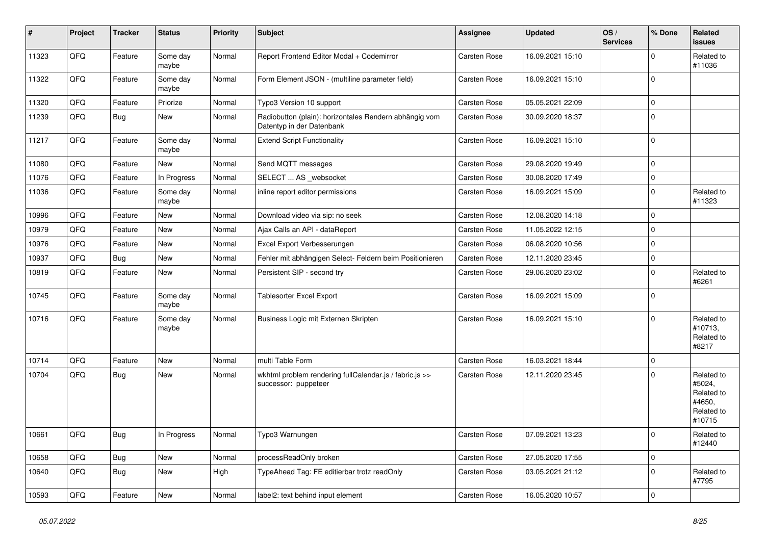| $\vert$ # | Project | <b>Tracker</b> | <b>Status</b>     | <b>Priority</b> | <b>Subject</b>                                                                      | Assignee            | <b>Updated</b>   | OS/<br><b>Services</b> | % Done      | Related<br><b>issues</b>                                             |
|-----------|---------|----------------|-------------------|-----------------|-------------------------------------------------------------------------------------|---------------------|------------------|------------------------|-------------|----------------------------------------------------------------------|
| 11323     | QFQ     | Feature        | Some day<br>maybe | Normal          | Report Frontend Editor Modal + Codemirror                                           | Carsten Rose        | 16.09.2021 15:10 |                        | $\mathbf 0$ | Related to<br>#11036                                                 |
| 11322     | QFQ     | Feature        | Some day<br>maybe | Normal          | Form Element JSON - (multiline parameter field)                                     | <b>Carsten Rose</b> | 16.09.2021 15:10 |                        | $\pmb{0}$   |                                                                      |
| 11320     | QFQ     | Feature        | Priorize          | Normal          | Typo3 Version 10 support                                                            | <b>Carsten Rose</b> | 05.05.2021 22:09 |                        | $\mathbf 0$ |                                                                      |
| 11239     | QFQ     | <b>Bug</b>     | New               | Normal          | Radiobutton (plain): horizontales Rendern abhängig vom<br>Datentyp in der Datenbank | <b>Carsten Rose</b> | 30.09.2020 18:37 |                        | $\pmb{0}$   |                                                                      |
| 11217     | QFQ     | Feature        | Some day<br>maybe | Normal          | <b>Extend Script Functionality</b>                                                  | <b>Carsten Rose</b> | 16.09.2021 15:10 |                        | $\mathbf 0$ |                                                                      |
| 11080     | QFQ     | Feature        | New               | Normal          | Send MQTT messages                                                                  | <b>Carsten Rose</b> | 29.08.2020 19:49 |                        | $\mathbf 0$ |                                                                      |
| 11076     | QFQ     | Feature        | In Progress       | Normal          | SELECT  AS _websocket                                                               | Carsten Rose        | 30.08.2020 17:49 |                        | $\pmb{0}$   |                                                                      |
| 11036     | QFQ     | Feature        | Some day<br>maybe | Normal          | inline report editor permissions                                                    | Carsten Rose        | 16.09.2021 15:09 |                        | $\pmb{0}$   | Related to<br>#11323                                                 |
| 10996     | QFQ     | Feature        | New               | Normal          | Download video via sip: no seek                                                     | Carsten Rose        | 12.08.2020 14:18 |                        | $\mathbf 0$ |                                                                      |
| 10979     | QFQ     | Feature        | New               | Normal          | Ajax Calls an API - dataReport                                                      | Carsten Rose        | 11.05.2022 12:15 |                        | $\mathbf 0$ |                                                                      |
| 10976     | QFQ     | Feature        | New               | Normal          | Excel Export Verbesserungen                                                         | Carsten Rose        | 06.08.2020 10:56 |                        | $\mathbf 0$ |                                                                      |
| 10937     | QFQ     | <b>Bug</b>     | New               | Normal          | Fehler mit abhängigen Select- Feldern beim Positionieren                            | Carsten Rose        | 12.11.2020 23:45 |                        | $\mathbf 0$ |                                                                      |
| 10819     | QFQ     | Feature        | <b>New</b>        | Normal          | Persistent SIP - second try                                                         | <b>Carsten Rose</b> | 29.06.2020 23:02 |                        | $\mathbf 0$ | Related to<br>#6261                                                  |
| 10745     | QFQ     | Feature        | Some day<br>maybe | Normal          | <b>Tablesorter Excel Export</b>                                                     | Carsten Rose        | 16.09.2021 15:09 |                        | $\mathbf 0$ |                                                                      |
| 10716     | QFQ     | Feature        | Some day<br>maybe | Normal          | Business Logic mit Externen Skripten                                                | Carsten Rose        | 16.09.2021 15:10 |                        | $\pmb{0}$   | Related to<br>#10713,<br>Related to<br>#8217                         |
| 10714     | QFQ     | Feature        | <b>New</b>        | Normal          | multi Table Form                                                                    | Carsten Rose        | 16.03.2021 18:44 |                        | $\mathbf 0$ |                                                                      |
| 10704     | QFQ     | Bug            | New               | Normal          | wkhtml problem rendering fullCalendar.js / fabric.js >><br>successor: puppeteer     | Carsten Rose        | 12.11.2020 23:45 |                        | $\mathbf 0$ | Related to<br>#5024,<br>Related to<br>#4650,<br>Related to<br>#10715 |
| 10661     | QFQ     | <b>Bug</b>     | In Progress       | Normal          | Typo3 Warnungen                                                                     | Carsten Rose        | 07.09.2021 13:23 |                        | $\pmb{0}$   | Related to<br>#12440                                                 |
| 10658     | QFQ     | <b>Bug</b>     | New               | Normal          | processReadOnly broken                                                              | Carsten Rose        | 27.05.2020 17:55 |                        | $\pmb{0}$   |                                                                      |
| 10640     | QFQ     | <b>Bug</b>     | New               | High            | TypeAhead Tag: FE editierbar trotz readOnly                                         | Carsten Rose        | 03.05.2021 21:12 |                        | $\pmb{0}$   | Related to<br>#7795                                                  |
| 10593     | QFQ     | Feature        | New               | Normal          | label2: text behind input element                                                   | Carsten Rose        | 16.05.2020 10:57 |                        | $\mathbf 0$ |                                                                      |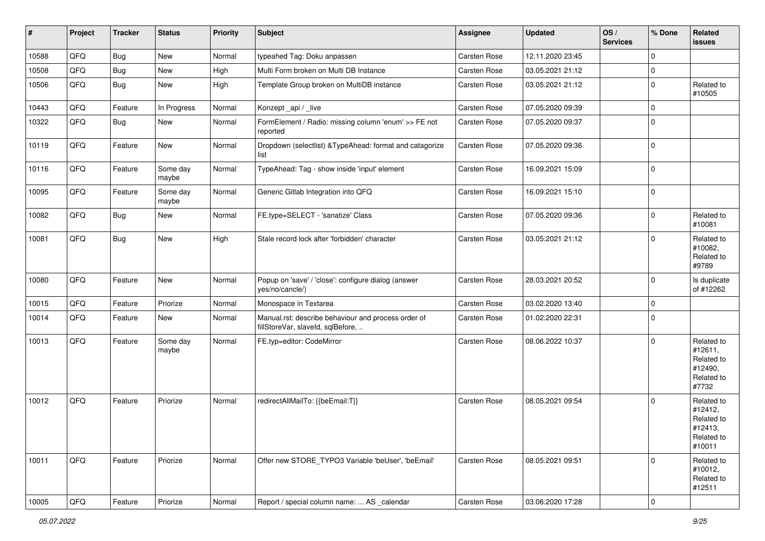| #     | Project | <b>Tracker</b> | <b>Status</b>     | <b>Priority</b> | <b>Subject</b>                                                                           | Assignee     | <b>Updated</b>   | OS/<br><b>Services</b> | % Done      | Related<br><b>issues</b>                                               |
|-------|---------|----------------|-------------------|-----------------|------------------------------------------------------------------------------------------|--------------|------------------|------------------------|-------------|------------------------------------------------------------------------|
| 10588 | QFQ     | <b>Bug</b>     | New               | Normal          | typeahed Tag: Doku anpassen                                                              | Carsten Rose | 12.11.2020 23:45 |                        | $\mathbf 0$ |                                                                        |
| 10508 | QFQ     | <b>Bug</b>     | New               | High            | Multi Form broken on Multi DB Instance                                                   | Carsten Rose | 03.05.2021 21:12 |                        | $\pmb{0}$   |                                                                        |
| 10506 | QFQ     | Bug            | New               | High            | Template Group broken on MultiDB instance                                                | Carsten Rose | 03.05.2021 21:12 |                        | $\pmb{0}$   | Related to<br>#10505                                                   |
| 10443 | QFQ     | Feature        | In Progress       | Normal          | Konzept_api / _live                                                                      | Carsten Rose | 07.05.2020 09:39 |                        | $\mathbf 0$ |                                                                        |
| 10322 | QFQ     | Bug            | <b>New</b>        | Normal          | FormElement / Radio: missing column 'enum' >> FE not<br>reported                         | Carsten Rose | 07.05.2020 09:37 |                        | $\mathbf 0$ |                                                                        |
| 10119 | QFQ     | Feature        | <b>New</b>        | Normal          | Dropdown (selectlist) & TypeAhead: format and catagorize<br>list                         | Carsten Rose | 07.05.2020 09:36 |                        | $\mathbf 0$ |                                                                        |
| 10116 | QFQ     | Feature        | Some day<br>maybe | Normal          | TypeAhead: Tag - show inside 'input' element                                             | Carsten Rose | 16.09.2021 15:09 |                        | $\pmb{0}$   |                                                                        |
| 10095 | QFQ     | Feature        | Some day<br>maybe | Normal          | Generic Gitlab Integration into QFQ                                                      | Carsten Rose | 16.09.2021 15:10 |                        | $\mathbf 0$ |                                                                        |
| 10082 | QFQ     | Bug            | New               | Normal          | FE.type=SELECT - 'sanatize' Class                                                        | Carsten Rose | 07.05.2020 09:36 |                        | $\pmb{0}$   | Related to<br>#10081                                                   |
| 10081 | QFQ     | <b>Bug</b>     | New               | High            | Stale record lock after 'forbidden' character                                            | Carsten Rose | 03.05.2021 21:12 |                        | $\mathbf 0$ | Related to<br>#10082,<br>Related to<br>#9789                           |
| 10080 | QFQ     | Feature        | New               | Normal          | Popup on 'save' / 'close': configure dialog (answer<br>yes/no/cancle/)                   | Carsten Rose | 28.03.2021 20:52 |                        | $\mathbf 0$ | Is duplicate<br>of #12262                                              |
| 10015 | QFQ     | Feature        | Priorize          | Normal          | Monospace in Textarea                                                                    | Carsten Rose | 03.02.2020 13:40 |                        | $\mathbf 0$ |                                                                        |
| 10014 | QFQ     | Feature        | <b>New</b>        | Normal          | Manual.rst: describe behaviour and process order of<br>fillStoreVar, slaveId, sqlBefore, | Carsten Rose | 01.02.2020 22:31 |                        | 0           |                                                                        |
| 10013 | QFQ     | Feature        | Some day<br>maybe | Normal          | FE.typ=editor: CodeMirror                                                                | Carsten Rose | 08.06.2022 10:37 |                        | $\mathbf 0$ | Related to<br>#12611,<br>Related to<br>#12490,<br>Related to<br>#7732  |
| 10012 | QFQ     | Feature        | Priorize          | Normal          | redirectAllMailTo: {{beEmail:T}}                                                         | Carsten Rose | 08.05.2021 09:54 |                        | 0           | Related to<br>#12412,<br>Related to<br>#12413,<br>Related to<br>#10011 |
| 10011 | QFQ     | Feature        | Priorize          | Normal          | Offer new STORE_TYPO3 Variable 'beUser', 'beEmail'                                       | Carsten Rose | 08.05.2021 09:51 |                        | $\mathbf 0$ | Related to<br>#10012,<br>Related to<br>#12511                          |
| 10005 | QFQ     | Feature        | Priorize          | Normal          | Report / special column name:  AS _calendar                                              | Carsten Rose | 03.06.2020 17:28 |                        | $\pmb{0}$   |                                                                        |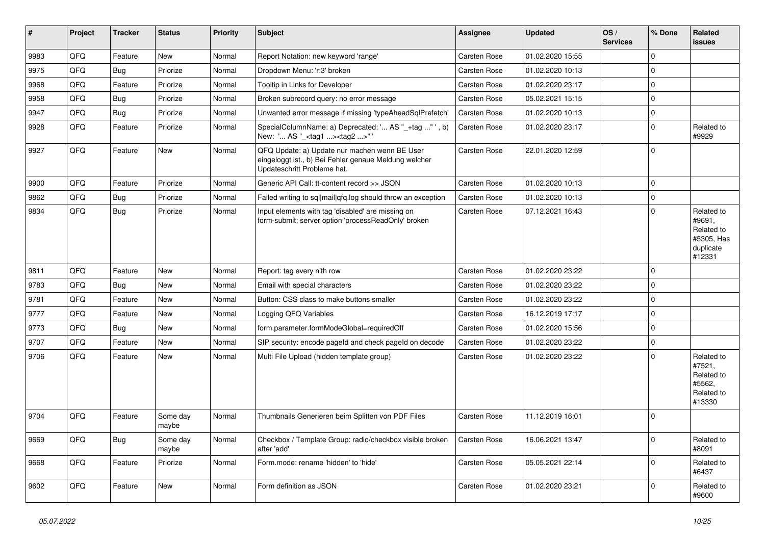| ∥ #  | Project | <b>Tracker</b> | <b>Status</b>     | <b>Priority</b> | <b>Subject</b>                                                                                                                        | <b>Assignee</b>     | <b>Updated</b>   | OS/<br><b>Services</b> | % Done   | Related<br><b>issues</b>                                                |
|------|---------|----------------|-------------------|-----------------|---------------------------------------------------------------------------------------------------------------------------------------|---------------------|------------------|------------------------|----------|-------------------------------------------------------------------------|
| 9983 | QFQ     | Feature        | <b>New</b>        | Normal          | Report Notation: new keyword 'range'                                                                                                  | Carsten Rose        | 01.02.2020 15:55 |                        | $\Omega$ |                                                                         |
| 9975 | QFQ     | Bug            | Priorize          | Normal          | Dropdown Menu: 'r:3' broken                                                                                                           | Carsten Rose        | 01.02.2020 10:13 |                        | $\Omega$ |                                                                         |
| 9968 | QFQ     | Feature        | Priorize          | Normal          | Tooltip in Links for Developer                                                                                                        | Carsten Rose        | 01.02.2020 23:17 |                        | $\Omega$ |                                                                         |
| 9958 | QFQ     | Bug            | Priorize          | Normal          | Broken subrecord query: no error message                                                                                              | <b>Carsten Rose</b> | 05.02.2021 15:15 |                        | $\Omega$ |                                                                         |
| 9947 | QFQ     | <b>Bug</b>     | Priorize          | Normal          | Unwanted error message if missing 'typeAheadSqlPrefetch'                                                                              | <b>Carsten Rose</b> | 01.02.2020 10:13 |                        | $\Omega$ |                                                                         |
| 9928 | QFQ     | Feature        | Priorize          | Normal          | SpecialColumnName: a) Deprecated: ' AS "_+tag " ', b)<br>New: ' AS "_ <tag1><tag2>"</tag2></tag1>                                     | Carsten Rose        | 01.02.2020 23:17 |                        | $\Omega$ | Related to<br>#9929                                                     |
| 9927 | QFQ     | Feature        | <b>New</b>        | Normal          | QFQ Update: a) Update nur machen wenn BE User<br>eingeloggt ist., b) Bei Fehler genaue Meldung welcher<br>Updateschritt Probleme hat. | <b>Carsten Rose</b> | 22.01.2020 12:59 |                        | $\Omega$ |                                                                         |
| 9900 | QFQ     | Feature        | Priorize          | Normal          | Generic API Call: tt-content record >> JSON                                                                                           | Carsten Rose        | 01.02.2020 10:13 |                        | $\Omega$ |                                                                         |
| 9862 | QFQ     | <b>Bug</b>     | Priorize          | Normal          | Failed writing to sql mail qfq.log should throw an exception                                                                          | <b>Carsten Rose</b> | 01.02.2020 10:13 |                        | $\Omega$ |                                                                         |
| 9834 | QFQ     | <b>Bug</b>     | Priorize          | Normal          | Input elements with tag 'disabled' are missing on<br>form-submit: server option 'processReadOnly' broken                              | <b>Carsten Rose</b> | 07.12.2021 16:43 |                        | $\Omega$ | Related to<br>#9691,<br>Related to<br>#5305, Has<br>duplicate<br>#12331 |
| 9811 | QFQ     | Feature        | <b>New</b>        | Normal          | Report: tag every n'th row                                                                                                            | Carsten Rose        | 01.02.2020 23:22 |                        | $\Omega$ |                                                                         |
| 9783 | QFQ     | <b>Bug</b>     | <b>New</b>        | Normal          | Email with special characters                                                                                                         | Carsten Rose        | 01.02.2020 23:22 |                        | $\Omega$ |                                                                         |
| 9781 | QFQ     | Feature        | <b>New</b>        | Normal          | Button: CSS class to make buttons smaller                                                                                             | Carsten Rose        | 01.02.2020 23:22 |                        | $\Omega$ |                                                                         |
| 9777 | QFQ     | Feature        | <b>New</b>        | Normal          | Logging QFQ Variables                                                                                                                 | <b>Carsten Rose</b> | 16.12.2019 17:17 |                        | $\Omega$ |                                                                         |
| 9773 | QFQ     | <b>Bug</b>     | <b>New</b>        | Normal          | form.parameter.formModeGlobal=requiredOff                                                                                             | <b>Carsten Rose</b> | 01.02.2020 15:56 |                        | $\Omega$ |                                                                         |
| 9707 | QFQ     | Feature        | <b>New</b>        | Normal          | SIP security: encode pageld and check pageld on decode                                                                                | <b>Carsten Rose</b> | 01.02.2020 23:22 |                        | $\Omega$ |                                                                         |
| 9706 | QFQ     | Feature        | <b>New</b>        | Normal          | Multi File Upload (hidden template group)                                                                                             | <b>Carsten Rose</b> | 01.02.2020 23:22 |                        | $\Omega$ | Related to<br>#7521,<br>Related to<br>#5562,<br>Related to<br>#13330    |
| 9704 | QFQ     | Feature        | Some day<br>maybe | Normal          | Thumbnails Generieren beim Splitten von PDF Files                                                                                     | <b>Carsten Rose</b> | 11.12.2019 16:01 |                        | $\Omega$ |                                                                         |
| 9669 | QFQ     | Bug            | Some day<br>maybe | Normal          | Checkbox / Template Group: radio/checkbox visible broken<br>after 'add'                                                               | Carsten Rose        | 16.06.2021 13:47 |                        | $\Omega$ | Related to<br>#8091                                                     |
| 9668 | QFQ     | Feature        | Priorize          | Normal          | Form.mode: rename 'hidden' to 'hide'                                                                                                  | Carsten Rose        | 05.05.2021 22:14 |                        | $\Omega$ | Related to<br>#6437                                                     |
| 9602 | QFQ     | Feature        | New               | Normal          | Form definition as JSON                                                                                                               | <b>Carsten Rose</b> | 01.02.2020 23:21 |                        | $\Omega$ | Related to<br>#9600                                                     |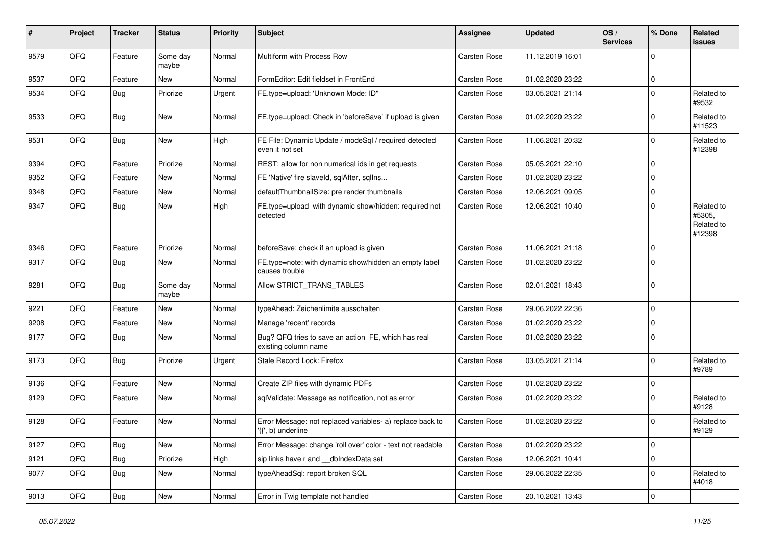| $\pmb{\#}$ | Project | <b>Tracker</b> | <b>Status</b>     | <b>Priority</b> | <b>Subject</b>                                                                  | <b>Assignee</b>     | <b>Updated</b>   | OS/<br><b>Services</b> | % Done      | Related<br><b>issues</b>                     |
|------------|---------|----------------|-------------------|-----------------|---------------------------------------------------------------------------------|---------------------|------------------|------------------------|-------------|----------------------------------------------|
| 9579       | QFQ     | Feature        | Some day<br>maybe | Normal          | Multiform with Process Row                                                      | <b>Carsten Rose</b> | 11.12.2019 16:01 |                        | $\mathbf 0$ |                                              |
| 9537       | QFQ     | Feature        | New               | Normal          | FormEditor: Edit fieldset in FrontEnd                                           | Carsten Rose        | 01.02.2020 23:22 |                        | $\pmb{0}$   |                                              |
| 9534       | QFQ     | Bug            | Priorize          | Urgent          | FE.type=upload: 'Unknown Mode: ID"                                              | Carsten Rose        | 03.05.2021 21:14 |                        | $\pmb{0}$   | Related to<br>#9532                          |
| 9533       | QFQ     | <b>Bug</b>     | <b>New</b>        | Normal          | FE.type=upload: Check in 'beforeSave' if upload is given                        | Carsten Rose        | 01.02.2020 23:22 |                        | $\mathbf 0$ | Related to<br>#11523                         |
| 9531       | QFQ     | <b>Bug</b>     | <b>New</b>        | High            | FE File: Dynamic Update / modeSql / required detected<br>even it not set        | <b>Carsten Rose</b> | 11.06.2021 20:32 |                        | 0           | Related to<br>#12398                         |
| 9394       | QFQ     | Feature        | Priorize          | Normal          | REST: allow for non numerical ids in get requests                               | Carsten Rose        | 05.05.2021 22:10 |                        | $\mathbf 0$ |                                              |
| 9352       | QFQ     | Feature        | New               | Normal          | FE 'Native' fire slaveld, sqlAfter, sqlIns                                      | Carsten Rose        | 01.02.2020 23:22 |                        | $\pmb{0}$   |                                              |
| 9348       | QFQ     | Feature        | <b>New</b>        | Normal          | defaultThumbnailSize: pre render thumbnails                                     | Carsten Rose        | 12.06.2021 09:05 |                        | $\mathbf 0$ |                                              |
| 9347       | QFQ     | Bug            | New               | High            | FE.type=upload with dynamic show/hidden: required not<br>detected               | Carsten Rose        | 12.06.2021 10:40 |                        | $\mathbf 0$ | Related to<br>#5305,<br>Related to<br>#12398 |
| 9346       | QFQ     | Feature        | Priorize          | Normal          | beforeSave: check if an upload is given                                         | Carsten Rose        | 11.06.2021 21:18 |                        | $\pmb{0}$   |                                              |
| 9317       | QFQ     | Bug            | New               | Normal          | FE.type=note: with dynamic show/hidden an empty label<br>causes trouble         | Carsten Rose        | 01.02.2020 23:22 |                        | $\mathbf 0$ |                                              |
| 9281       | QFQ     | <b>Bug</b>     | Some day<br>maybe | Normal          | Allow STRICT TRANS TABLES                                                       | Carsten Rose        | 02.01.2021 18:43 |                        | $\mathbf 0$ |                                              |
| 9221       | QFQ     | Feature        | <b>New</b>        | Normal          | typeAhead: Zeichenlimite ausschalten                                            | Carsten Rose        | 29.06.2022 22:36 |                        | $\pmb{0}$   |                                              |
| 9208       | QFQ     | Feature        | <b>New</b>        | Normal          | Manage 'recent' records                                                         | Carsten Rose        | 01.02.2020 23:22 |                        | $\mathbf 0$ |                                              |
| 9177       | QFQ     | Bug            | New               | Normal          | Bug? QFQ tries to save an action FE, which has real<br>existing column name     | Carsten Rose        | 01.02.2020 23:22 |                        | $\mathbf 0$ |                                              |
| 9173       | QFQ     | <b>Bug</b>     | Priorize          | Urgent          | Stale Record Lock: Firefox                                                      | Carsten Rose        | 03.05.2021 21:14 |                        | $\mathbf 0$ | Related to<br>#9789                          |
| 9136       | QFQ     | Feature        | <b>New</b>        | Normal          | Create ZIP files with dynamic PDFs                                              | <b>Carsten Rose</b> | 01.02.2020 23:22 |                        | $\pmb{0}$   |                                              |
| 9129       | QFQ     | Feature        | New               | Normal          | sqlValidate: Message as notification, not as error                              | Carsten Rose        | 01.02.2020 23:22 |                        | $\mathbf 0$ | Related to<br>#9128                          |
| 9128       | QFQ     | Feature        | <b>New</b>        | Normal          | Error Message: not replaced variables- a) replace back to<br>'{{', b) underline | Carsten Rose        | 01.02.2020 23:22 |                        | $\mathbf 0$ | Related to<br>#9129                          |
| 9127       | QFQ     | <b>Bug</b>     | New               | Normal          | Error Message: change 'roll over' color - text not readable                     | Carsten Rose        | 01.02.2020 23:22 |                        | $\mathsf 0$ |                                              |
| 9121       | QFQ     | <b>Bug</b>     | Priorize          | High            | sip links have r and __dbIndexData set                                          | Carsten Rose        | 12.06.2021 10:41 |                        | 0           |                                              |
| 9077       | QFQ     | <b>Bug</b>     | New               | Normal          | typeAheadSql: report broken SQL                                                 | Carsten Rose        | 29.06.2022 22:35 |                        | 0           | Related to<br>#4018                          |
| 9013       | QFQ     | Bug            | New               | Normal          | Error in Twig template not handled                                              | Carsten Rose        | 20.10.2021 13:43 |                        | $\mathbf 0$ |                                              |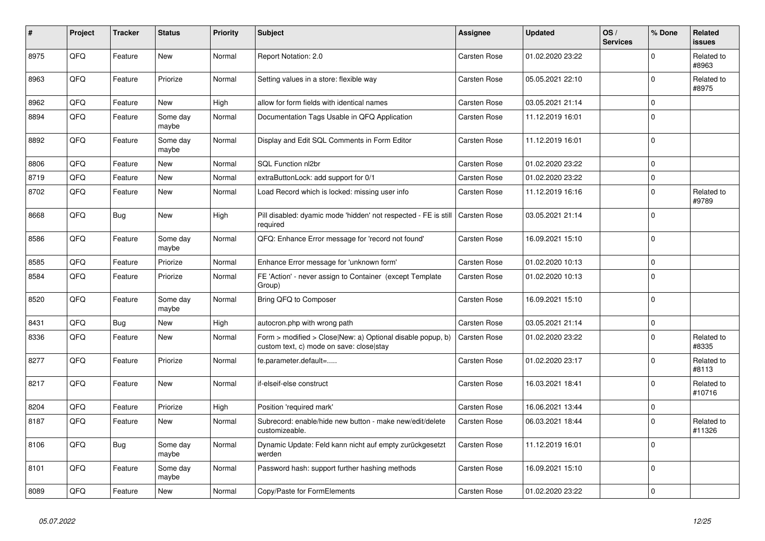| #    | Project | <b>Tracker</b> | <b>Status</b>     | <b>Priority</b> | <b>Subject</b>                                                                                         | <b>Assignee</b>     | <b>Updated</b>   | OS/<br><b>Services</b> | % Done      | <b>Related</b><br><b>issues</b> |
|------|---------|----------------|-------------------|-----------------|--------------------------------------------------------------------------------------------------------|---------------------|------------------|------------------------|-------------|---------------------------------|
| 8975 | QFQ     | Feature        | New               | Normal          | Report Notation: 2.0                                                                                   | Carsten Rose        | 01.02.2020 23:22 |                        | $\Omega$    | Related to<br>#8963             |
| 8963 | QFQ     | Feature        | Priorize          | Normal          | Setting values in a store: flexible way                                                                | Carsten Rose        | 05.05.2021 22:10 |                        | $\mathbf 0$ | Related to<br>#8975             |
| 8962 | QFQ     | Feature        | <b>New</b>        | High            | allow for form fields with identical names                                                             | Carsten Rose        | 03.05.2021 21:14 |                        | $\mathbf 0$ |                                 |
| 8894 | QFQ     | Feature        | Some day<br>maybe | Normal          | Documentation Tags Usable in QFQ Application                                                           | Carsten Rose        | 11.12.2019 16:01 |                        | $\mathbf 0$ |                                 |
| 8892 | QFQ     | Feature        | Some day<br>maybe | Normal          | Display and Edit SQL Comments in Form Editor                                                           | Carsten Rose        | 11.12.2019 16:01 |                        | $\mathbf 0$ |                                 |
| 8806 | QFQ     | Feature        | <b>New</b>        | Normal          | <b>SQL Function nl2br</b>                                                                              | <b>Carsten Rose</b> | 01.02.2020 23:22 |                        | $\Omega$    |                                 |
| 8719 | QFQ     | Feature        | New               | Normal          | extraButtonLock: add support for 0/1                                                                   | <b>Carsten Rose</b> | 01.02.2020 23:22 |                        | $\mathbf 0$ |                                 |
| 8702 | QFQ     | Feature        | <b>New</b>        | Normal          | Load Record which is locked: missing user info                                                         | Carsten Rose        | 11.12.2019 16:16 |                        | $\mathbf 0$ | Related to<br>#9789             |
| 8668 | QFQ     | Bug            | <b>New</b>        | High            | Pill disabled: dyamic mode 'hidden' not respected - FE is still<br>required                            | Carsten Rose        | 03.05.2021 21:14 |                        | $\Omega$    |                                 |
| 8586 | QFQ     | Feature        | Some day<br>maybe | Normal          | QFQ: Enhance Error message for 'record not found'                                                      | Carsten Rose        | 16.09.2021 15:10 |                        | $\pmb{0}$   |                                 |
| 8585 | QFQ     | Feature        | Priorize          | Normal          | Enhance Error message for 'unknown form'                                                               | Carsten Rose        | 01.02.2020 10:13 |                        | $\mathbf 0$ |                                 |
| 8584 | QFQ     | Feature        | Priorize          | Normal          | FE 'Action' - never assign to Container (except Template<br>Group)                                     | Carsten Rose        | 01.02.2020 10:13 |                        | $\mathbf 0$ |                                 |
| 8520 | QFQ     | Feature        | Some day<br>maybe | Normal          | Bring QFQ to Composer                                                                                  | Carsten Rose        | 16.09.2021 15:10 |                        | $\mathbf 0$ |                                 |
| 8431 | QFQ     | <b>Bug</b>     | <b>New</b>        | High            | autocron.php with wrong path                                                                           | Carsten Rose        | 03.05.2021 21:14 |                        | $\mathsf 0$ |                                 |
| 8336 | QFQ     | Feature        | <b>New</b>        | Normal          | Form > modified > Close New: a) Optional disable popup, b)<br>custom text, c) mode on save: close stay | Carsten Rose        | 01.02.2020 23:22 |                        | $\mathbf 0$ | Related to<br>#8335             |
| 8277 | QFQ     | Feature        | Priorize          | Normal          | fe.parameter.default=                                                                                  | <b>Carsten Rose</b> | 01.02.2020 23:17 |                        | $\mathbf 0$ | Related to<br>#8113             |
| 8217 | QFQ     | Feature        | <b>New</b>        | Normal          | if-elseif-else construct                                                                               | Carsten Rose        | 16.03.2021 18:41 |                        | $\mathbf 0$ | Related to<br>#10716            |
| 8204 | QFQ     | Feature        | Priorize          | High            | Position 'required mark'                                                                               | Carsten Rose        | 16.06.2021 13:44 |                        | $\mathbf 0$ |                                 |
| 8187 | QFQ     | Feature        | <b>New</b>        | Normal          | Subrecord: enable/hide new button - make new/edit/delete<br>customizeable.                             | Carsten Rose        | 06.03.2021 18:44 |                        | $\mathbf 0$ | Related to<br>#11326            |
| 8106 | QFQ     | <b>Bug</b>     | Some day<br>maybe | Normal          | Dynamic Update: Feld kann nicht auf empty zurückgesetzt<br>werden                                      | Carsten Rose        | 11.12.2019 16:01 |                        | $\mathbf 0$ |                                 |
| 8101 | QFQ     | Feature        | Some day<br>maybe | Normal          | Password hash: support further hashing methods                                                         | Carsten Rose        | 16.09.2021 15:10 |                        | $\mathbf 0$ |                                 |
| 8089 | QFQ     | Feature        | <b>New</b>        | Normal          | Copy/Paste for FormElements                                                                            | <b>Carsten Rose</b> | 01.02.2020 23:22 |                        | $\mathbf 0$ |                                 |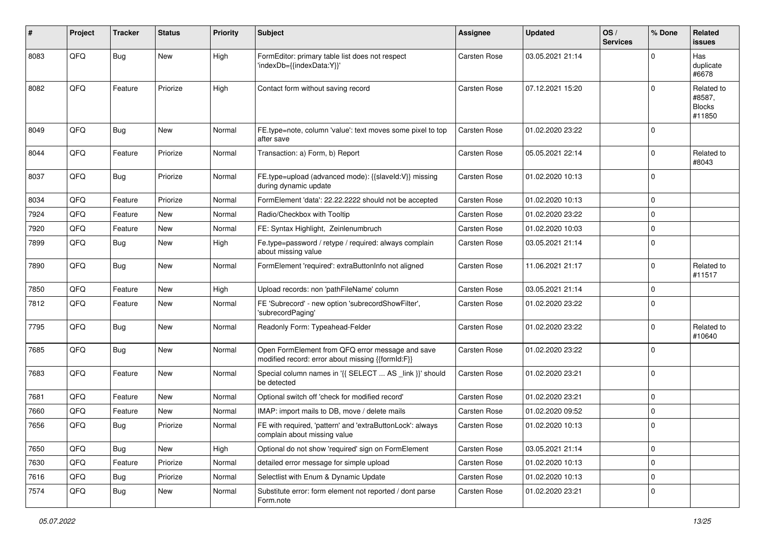| $\sharp$ | Project | <b>Tracker</b> | <b>Status</b> | <b>Priority</b> | <b>Subject</b>                                                                                        | Assignee     | <b>Updated</b>   | OS/<br><b>Services</b> | % Done      | Related<br><b>issues</b>                        |
|----------|---------|----------------|---------------|-----------------|-------------------------------------------------------------------------------------------------------|--------------|------------------|------------------------|-------------|-------------------------------------------------|
| 8083     | QFQ     | <b>Bug</b>     | New           | High            | FormEditor: primary table list does not respect<br>'indexDb={{indexData:Y}}'                          | Carsten Rose | 03.05.2021 21:14 |                        | $\Omega$    | Has<br>duplicate<br>#6678                       |
| 8082     | QFQ     | Feature        | Priorize      | High            | Contact form without saving record                                                                    | Carsten Rose | 07.12.2021 15:20 |                        | $\Omega$    | Related to<br>#8587,<br><b>Blocks</b><br>#11850 |
| 8049     | QFQ     | Bug            | New           | Normal          | FE.type=note, column 'value': text moves some pixel to top<br>after save                              | Carsten Rose | 01.02.2020 23:22 |                        | $\Omega$    |                                                 |
| 8044     | QFQ     | Feature        | Priorize      | Normal          | Transaction: a) Form, b) Report                                                                       | Carsten Rose | 05.05.2021 22:14 |                        | 0           | Related to<br>#8043                             |
| 8037     | QFQ     | <b>Bug</b>     | Priorize      | Normal          | FE.type=upload (advanced mode): {{slaveld:V}} missing<br>during dynamic update                        | Carsten Rose | 01.02.2020 10:13 |                        | $\mathbf 0$ |                                                 |
| 8034     | QFQ     | Feature        | Priorize      | Normal          | FormElement 'data': 22.22.2222 should not be accepted                                                 | Carsten Rose | 01.02.2020 10:13 |                        | 0           |                                                 |
| 7924     | QFQ     | Feature        | <b>New</b>    | Normal          | Radio/Checkbox with Tooltip                                                                           | Carsten Rose | 01.02.2020 23:22 |                        | $\mathbf 0$ |                                                 |
| 7920     | QFQ     | Feature        | New           | Normal          | FE: Syntax Highlight, Zeinlenumbruch                                                                  | Carsten Rose | 01.02.2020 10:03 |                        | $\mathbf 0$ |                                                 |
| 7899     | QFQ     | Bug            | New           | High            | Fe.type=password / retype / required: always complain<br>about missing value                          | Carsten Rose | 03.05.2021 21:14 |                        | $\mathbf 0$ |                                                 |
| 7890     | QFQ     | <b>Bug</b>     | New           | Normal          | FormElement 'required': extraButtonInfo not aligned                                                   | Carsten Rose | 11.06.2021 21:17 |                        | $\Omega$    | Related to<br>#11517                            |
| 7850     | QFQ     | Feature        | New           | High            | Upload records: non 'pathFileName' column                                                             | Carsten Rose | 03.05.2021 21:14 |                        | $\mathbf 0$ |                                                 |
| 7812     | QFQ     | Feature        | New           | Normal          | FE 'Subrecord' - new option 'subrecordShowFilter',<br>'subrecordPaging'                               | Carsten Rose | 01.02.2020 23:22 |                        | $\Omega$    |                                                 |
| 7795     | QFQ     | <b>Bug</b>     | New           | Normal          | Readonly Form: Typeahead-Felder                                                                       | Carsten Rose | 01.02.2020 23:22 |                        | 0           | Related to<br>#10640                            |
| 7685     | QFQ     | <b>Bug</b>     | <b>New</b>    | Normal          | Open FormElement from QFQ error message and save<br>modified record: error about missing {{formId:F}} | Carsten Rose | 01.02.2020 23:22 |                        | $\Omega$    |                                                 |
| 7683     | QFQ     | Feature        | New           | Normal          | Special column names in '{{ SELECT  AS _link }}' should<br>be detected                                | Carsten Rose | 01.02.2020 23:21 |                        | $\mathbf 0$ |                                                 |
| 7681     | QFQ     | Feature        | New           | Normal          | Optional switch off 'check for modified record'                                                       | Carsten Rose | 01.02.2020 23:21 |                        | $\Omega$    |                                                 |
| 7660     | QFQ     | Feature        | New           | Normal          | IMAP: import mails to DB, move / delete mails                                                         | Carsten Rose | 01.02.2020 09:52 |                        | $\mathbf 0$ |                                                 |
| 7656     | QFQ     | <b>Bug</b>     | Priorize      | Normal          | FE with required, 'pattern' and 'extraButtonLock': always<br>complain about missing value             | Carsten Rose | 01.02.2020 10:13 |                        | $\mathbf 0$ |                                                 |
| 7650     | QFQ     | <b>Bug</b>     | New           | High            | Optional do not show 'required' sign on FormElement                                                   | Carsten Rose | 03.05.2021 21:14 |                        | 0           |                                                 |
| 7630     | QFQ     | Feature        | Priorize      | Normal          | detailed error message for simple upload                                                              | Carsten Rose | 01.02.2020 10:13 |                        | $\mathbf 0$ |                                                 |
| 7616     | QFQ     | Bug            | Priorize      | Normal          | Selectlist with Enum & Dynamic Update                                                                 | Carsten Rose | 01.02.2020 10:13 |                        | $\mathbf 0$ |                                                 |
| 7574     | QFQ     | <b>Bug</b>     | New           | Normal          | Substitute error: form element not reported / dont parse<br>Form.note                                 | Carsten Rose | 01.02.2020 23:21 |                        | 0           |                                                 |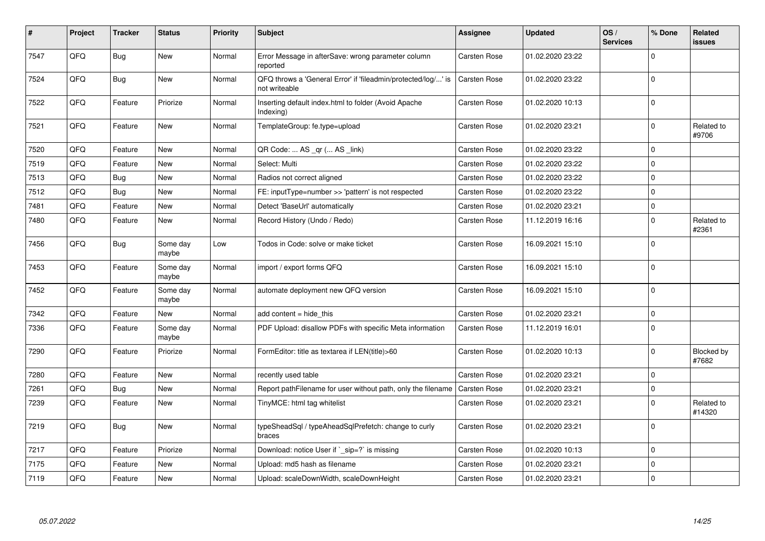| #    | Project | <b>Tracker</b> | <b>Status</b>     | <b>Priority</b> | <b>Subject</b>                                                                 | <b>Assignee</b>     | <b>Updated</b>   | OS/<br><b>Services</b> | % Done      | <b>Related</b><br>issues   |
|------|---------|----------------|-------------------|-----------------|--------------------------------------------------------------------------------|---------------------|------------------|------------------------|-------------|----------------------------|
| 7547 | QFQ     | Bug            | New               | Normal          | Error Message in afterSave: wrong parameter column<br>reported                 | <b>Carsten Rose</b> | 01.02.2020 23:22 |                        | $\mathbf 0$ |                            |
| 7524 | QFQ     | <b>Bug</b>     | New               | Normal          | QFQ throws a 'General Error' if 'fileadmin/protected/log/' is<br>not writeable | <b>Carsten Rose</b> | 01.02.2020 23:22 |                        | $\mathbf 0$ |                            |
| 7522 | QFQ     | Feature        | Priorize          | Normal          | Inserting default index.html to folder (Avoid Apache<br>Indexing)              | <b>Carsten Rose</b> | 01.02.2020 10:13 |                        | $\mathsf 0$ |                            |
| 7521 | QFQ     | Feature        | New               | Normal          | TemplateGroup: fe.type=upload                                                  | Carsten Rose        | 01.02.2020 23:21 |                        | $\mathsf 0$ | Related to<br>#9706        |
| 7520 | QFQ     | Feature        | <b>New</b>        | Normal          | QR Code:  AS _qr ( AS _link)                                                   | Carsten Rose        | 01.02.2020 23:22 |                        | $\mathbf 0$ |                            |
| 7519 | QFQ     | Feature        | New               | Normal          | Select: Multi                                                                  | Carsten Rose        | 01.02.2020 23:22 |                        | $\mathbf 0$ |                            |
| 7513 | QFQ     | <b>Bug</b>     | New               | Normal          | Radios not correct aligned                                                     | <b>Carsten Rose</b> | 01.02.2020 23:22 |                        | $\mathbf 0$ |                            |
| 7512 | QFQ     | <b>Bug</b>     | New               | Normal          | FE: inputType=number >> 'pattern' is not respected                             | Carsten Rose        | 01.02.2020 23:22 |                        | $\mathsf 0$ |                            |
| 7481 | QFQ     | Feature        | New               | Normal          | Detect 'BaseUrl' automatically                                                 | <b>Carsten Rose</b> | 01.02.2020 23:21 |                        | $\mathsf 0$ |                            |
| 7480 | QFQ     | Feature        | New               | Normal          | Record History (Undo / Redo)                                                   | <b>Carsten Rose</b> | 11.12.2019 16:16 |                        | $\mathbf 0$ | Related to<br>#2361        |
| 7456 | QFQ     | <b>Bug</b>     | Some day<br>maybe | Low             | Todos in Code: solve or make ticket                                            | <b>Carsten Rose</b> | 16.09.2021 15:10 |                        | $\mathbf 0$ |                            |
| 7453 | QFQ     | Feature        | Some day<br>maybe | Normal          | import / export forms QFQ                                                      | <b>Carsten Rose</b> | 16.09.2021 15:10 |                        | $\mathbf 0$ |                            |
| 7452 | QFQ     | Feature        | Some day<br>maybe | Normal          | automate deployment new QFQ version                                            | <b>Carsten Rose</b> | 16.09.2021 15:10 |                        | $\mathbf 0$ |                            |
| 7342 | QFQ     | Feature        | New               | Normal          | add content = hide this                                                        | <b>Carsten Rose</b> | 01.02.2020 23:21 |                        | $\pmb{0}$   |                            |
| 7336 | QFQ     | Feature        | Some day<br>maybe | Normal          | PDF Upload: disallow PDFs with specific Meta information                       | Carsten Rose        | 11.12.2019 16:01 |                        | $\mathbf 0$ |                            |
| 7290 | QFQ     | Feature        | Priorize          | Normal          | FormEditor: title as textarea if LEN(title)>60                                 | Carsten Rose        | 01.02.2020 10:13 |                        | $\Omega$    | <b>Blocked by</b><br>#7682 |
| 7280 | QFQ     | Feature        | <b>New</b>        | Normal          | recently used table                                                            | <b>Carsten Rose</b> | 01.02.2020 23:21 |                        | $\mathbf 0$ |                            |
| 7261 | QFQ     | <b>Bug</b>     | New               | Normal          | Report pathFilename for user without path, only the filename                   | <b>Carsten Rose</b> | 01.02.2020 23:21 |                        | $\pmb{0}$   |                            |
| 7239 | QFQ     | Feature        | New               | Normal          | TinyMCE: html tag whitelist                                                    | <b>Carsten Rose</b> | 01.02.2020 23:21 |                        | $\mathbf 0$ | Related to<br>#14320       |
| 7219 | QFQ     | <b>Bug</b>     | New               | Normal          | typeSheadSql / typeAheadSqlPrefetch: change to curly<br>braces                 | Carsten Rose        | 01.02.2020 23:21 |                        | $\Omega$    |                            |
| 7217 | QFQ     | Feature        | Priorize          | Normal          | Download: notice User if `_sip=?` is missing                                   | Carsten Rose        | 01.02.2020 10:13 |                        | $\mathbf 0$ |                            |
| 7175 | QFQ     | Feature        | New               | Normal          | Upload: md5 hash as filename                                                   | <b>Carsten Rose</b> | 01.02.2020 23:21 |                        | $\mathbf 0$ |                            |
| 7119 | QFQ     | Feature        | <b>New</b>        | Normal          | Upload: scaleDownWidth, scaleDownHeight                                        | <b>Carsten Rose</b> | 01.02.2020 23:21 |                        | $\mathbf 0$ |                            |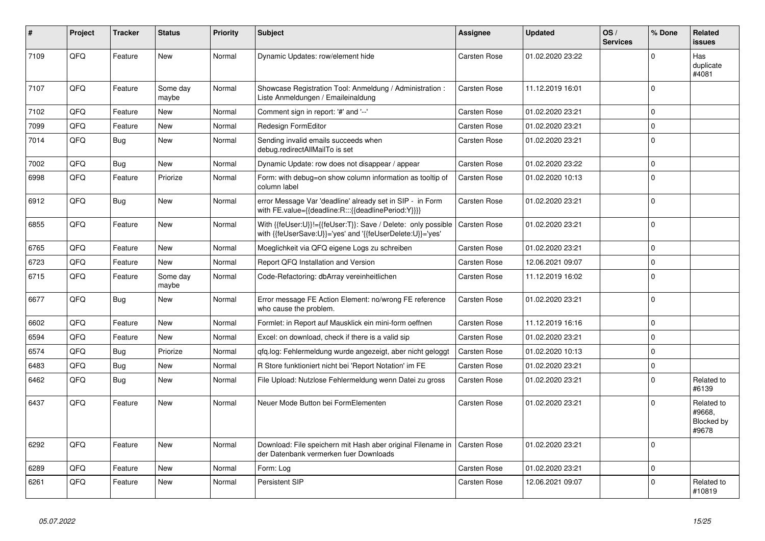| #    | Project | <b>Tracker</b> | <b>Status</b>     | <b>Priority</b> | <b>Subject</b>                                                                                                             | Assignee            | <b>Updated</b>   | OS/<br><b>Services</b> | % Done      | <b>Related</b><br><b>issues</b>             |
|------|---------|----------------|-------------------|-----------------|----------------------------------------------------------------------------------------------------------------------------|---------------------|------------------|------------------------|-------------|---------------------------------------------|
| 7109 | QFQ     | Feature        | <b>New</b>        | Normal          | Dynamic Updates: row/element hide                                                                                          | Carsten Rose        | 01.02.2020 23:22 |                        | $\Omega$    | Has<br>duplicate<br>#4081                   |
| 7107 | QFQ     | Feature        | Some day<br>maybe | Normal          | Showcase Registration Tool: Anmeldung / Administration :<br>Liste Anmeldungen / Emaileinaldung                             | Carsten Rose        | 11.12.2019 16:01 |                        | $\Omega$    |                                             |
| 7102 | QFQ     | Feature        | <b>New</b>        | Normal          | Comment sign in report: '#' and '--'                                                                                       | <b>Carsten Rose</b> | 01.02.2020 23:21 |                        | $\mathbf 0$ |                                             |
| 7099 | QFQ     | Feature        | New               | Normal          | Redesign FormEditor                                                                                                        | Carsten Rose        | 01.02.2020 23:21 |                        | $\mathbf 0$ |                                             |
| 7014 | QFQ     | <b>Bug</b>     | New               | Normal          | Sending invalid emails succeeds when<br>debug.redirectAllMailTo is set                                                     | Carsten Rose        | 01.02.2020 23:21 |                        | $\mathbf 0$ |                                             |
| 7002 | QFQ     | <b>Bug</b>     | <b>New</b>        | Normal          | Dynamic Update: row does not disappear / appear                                                                            | Carsten Rose        | 01.02.2020 23:22 |                        | $\pmb{0}$   |                                             |
| 6998 | QFQ     | Feature        | Priorize          | Normal          | Form: with debug=on show column information as tooltip of<br>column label                                                  | Carsten Rose        | 01.02.2020 10:13 |                        | $\Omega$    |                                             |
| 6912 | QFQ     | <b>Bug</b>     | <b>New</b>        | Normal          | error Message Var 'deadline' already set in SIP - in Form<br>with FE.value={{deadline:R:::{{deadlinePeriod:Y}}}}           | Carsten Rose        | 01.02.2020 23:21 |                        | $\mathbf 0$ |                                             |
| 6855 | QFQ     | Feature        | <b>New</b>        | Normal          | With {{feUser:U}}!={{feUser:T}}: Save / Delete: only possible<br>with {{feUserSave:U}}='yes' and '{{feUserDelete:U}}='yes' | Carsten Rose        | 01.02.2020 23:21 |                        | $\mathsf 0$ |                                             |
| 6765 | QFQ     | Feature        | New               | Normal          | Moeglichkeit via QFQ eigene Logs zu schreiben                                                                              | Carsten Rose        | 01.02.2020 23:21 |                        | $\mathbf 0$ |                                             |
| 6723 | QFQ     | Feature        | New               | Normal          | Report QFQ Installation and Version                                                                                        | Carsten Rose        | 12.06.2021 09:07 |                        | $\mathbf 0$ |                                             |
| 6715 | QFQ     | Feature        | Some day<br>maybe | Normal          | Code-Refactoring: dbArray vereinheitlichen                                                                                 | Carsten Rose        | 11.12.2019 16:02 |                        | $\mathbf 0$ |                                             |
| 6677 | QFQ     | <b>Bug</b>     | <b>New</b>        | Normal          | Error message FE Action Element: no/wrong FE reference<br>who cause the problem.                                           | Carsten Rose        | 01.02.2020 23:21 |                        | $\mathbf 0$ |                                             |
| 6602 | QFQ     | Feature        | <b>New</b>        | Normal          | Formlet: in Report auf Mausklick ein mini-form oeffnen                                                                     | Carsten Rose        | 11.12.2019 16:16 |                        | $\Omega$    |                                             |
| 6594 | QFQ     | Feature        | <b>New</b>        | Normal          | Excel: on download, check if there is a valid sip                                                                          | Carsten Rose        | 01.02.2020 23:21 |                        | $\mathbf 0$ |                                             |
| 6574 | QFQ     | Bug            | Priorize          | Normal          | qfq.log: Fehlermeldung wurde angezeigt, aber nicht geloggt                                                                 | Carsten Rose        | 01.02.2020 10:13 |                        | $\mathbf 0$ |                                             |
| 6483 | QFQ     | <b>Bug</b>     | <b>New</b>        | Normal          | R Store funktioniert nicht bei 'Report Notation' im FE                                                                     | Carsten Rose        | 01.02.2020 23:21 |                        | $\pmb{0}$   |                                             |
| 6462 | QFQ     | <b>Bug</b>     | <b>New</b>        | Normal          | File Upload: Nutzlose Fehlermeldung wenn Datei zu gross                                                                    | Carsten Rose        | 01.02.2020 23:21 |                        | $\Omega$    | Related to<br>#6139                         |
| 6437 | QFQ     | Feature        | <b>New</b>        | Normal          | Neuer Mode Button bei FormElementen                                                                                        | <b>Carsten Rose</b> | 01.02.2020 23:21 |                        | $\mathbf 0$ | Related to<br>#9668.<br>Blocked by<br>#9678 |
| 6292 | QFQ     | Feature        | <b>New</b>        | Normal          | Download: File speichern mit Hash aber original Filename in<br>der Datenbank vermerken fuer Downloads                      | Carsten Rose        | 01.02.2020 23:21 |                        | $\Omega$    |                                             |
| 6289 | QFQ     | Feature        | <b>New</b>        | Normal          | Form: Log                                                                                                                  | <b>Carsten Rose</b> | 01.02.2020 23:21 |                        | $\mathbf 0$ |                                             |
| 6261 | QFQ     | Feature        | <b>New</b>        | Normal          | Persistent SIP                                                                                                             | Carsten Rose        | 12.06.2021 09:07 |                        | $\Omega$    | Related to<br>#10819                        |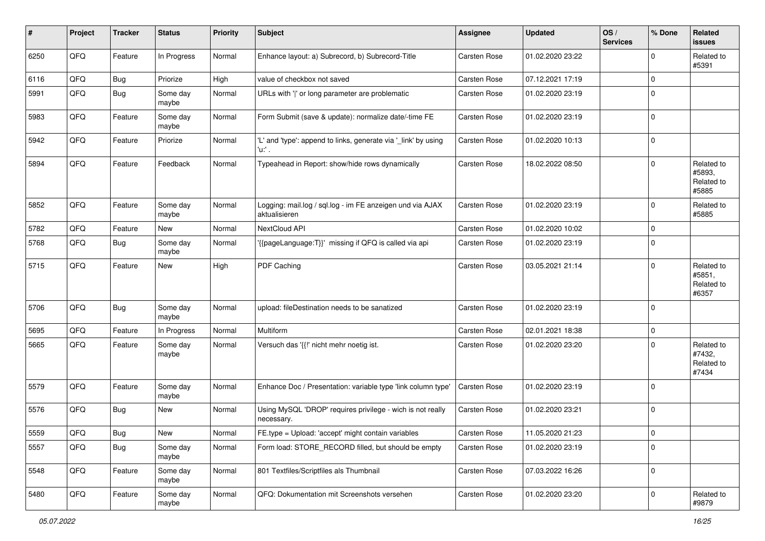| #    | Project | <b>Tracker</b> | <b>Status</b>     | <b>Priority</b> | <b>Subject</b>                                                             | <b>Assignee</b>     | <b>Updated</b>   | OS/<br><b>Services</b> | % Done      | Related<br><b>issues</b>                    |
|------|---------|----------------|-------------------|-----------------|----------------------------------------------------------------------------|---------------------|------------------|------------------------|-------------|---------------------------------------------|
| 6250 | QFQ     | Feature        | In Progress       | Normal          | Enhance layout: a) Subrecord, b) Subrecord-Title                           | <b>Carsten Rose</b> | 01.02.2020 23:22 |                        | $\mathbf 0$ | Related to<br>#5391                         |
| 6116 | QFQ     | Bug            | Priorize          | High            | value of checkbox not saved                                                | Carsten Rose        | 07.12.2021 17:19 |                        | 0           |                                             |
| 5991 | QFQ     | <b>Bug</b>     | Some day<br>maybe | Normal          | URLs with ' ' or long parameter are problematic                            | Carsten Rose        | 01.02.2020 23:19 |                        | $\mathbf 0$ |                                             |
| 5983 | QFQ     | Feature        | Some day<br>maybe | Normal          | Form Submit (save & update): normalize date/-time FE                       | Carsten Rose        | 01.02.2020 23:19 |                        | $\mathbf 0$ |                                             |
| 5942 | QFQ     | Feature        | Priorize          | Normal          | 'L' and 'type': append to links, generate via '_link' by using<br>'u:' .   | Carsten Rose        | 01.02.2020 10:13 |                        | $\mathbf 0$ |                                             |
| 5894 | QFQ     | Feature        | Feedback          | Normal          | Typeahead in Report: show/hide rows dynamically                            | <b>Carsten Rose</b> | 18.02.2022 08:50 |                        | $\Omega$    | Related to<br>#5893,<br>Related to<br>#5885 |
| 5852 | QFQ     | Feature        | Some day<br>maybe | Normal          | Logging: mail.log / sql.log - im FE anzeigen und via AJAX<br>aktualisieren | <b>Carsten Rose</b> | 01.02.2020 23:19 |                        | $\mathbf 0$ | Related to<br>#5885                         |
| 5782 | QFQ     | Feature        | New               | Normal          | NextCloud API                                                              | <b>Carsten Rose</b> | 01.02.2020 10:02 |                        | $\mathbf 0$ |                                             |
| 5768 | QFQ     | Bug            | Some day<br>maybe | Normal          | '{{pageLanguage:T}}' missing if QFQ is called via api                      | <b>Carsten Rose</b> | 01.02.2020 23:19 |                        | $\mathbf 0$ |                                             |
| 5715 | QFQ     | Feature        | New               | High            | PDF Caching                                                                | <b>Carsten Rose</b> | 03.05.2021 21:14 |                        | $\mathbf 0$ | Related to<br>#5851,<br>Related to<br>#6357 |
| 5706 | QFQ     | <b>Bug</b>     | Some day<br>maybe | Normal          | upload: fileDestination needs to be sanatized                              | <b>Carsten Rose</b> | 01.02.2020 23:19 |                        | $\mathbf 0$ |                                             |
| 5695 | QFQ     | Feature        | In Progress       | Normal          | Multiform                                                                  | <b>Carsten Rose</b> | 02.01.2021 18:38 |                        | $\mathbf 0$ |                                             |
| 5665 | QFQ     | Feature        | Some day<br>maybe | Normal          | Versuch das '{{!' nicht mehr noetig ist.                                   | Carsten Rose        | 01.02.2020 23:20 |                        | $\Omega$    | Related to<br>#7432,<br>Related to<br>#7434 |
| 5579 | QFQ     | Feature        | Some day<br>maybe | Normal          | Enhance Doc / Presentation: variable type 'link column type'               | Carsten Rose        | 01.02.2020 23:19 |                        | $\mathbf 0$ |                                             |
| 5576 | QFQ     | <b>Bug</b>     | <b>New</b>        | Normal          | Using MySQL 'DROP' requires privilege - wich is not really<br>necessary.   | Carsten Rose        | 01.02.2020 23:21 |                        | $\mathbf 0$ |                                             |
| 5559 | QFG     | <b>Bug</b>     | New               | Normal          | FE.type = Upload: 'accept' might contain variables                         | Carsten Rose        | 11.05.2020 21:23 |                        | $\mathsf 0$ |                                             |
| 5557 | QFQ     | Bug            | Some day<br>maybe | Normal          | Form load: STORE RECORD filled, but should be empty                        | Carsten Rose        | 01.02.2020 23:19 |                        | $\mathbf 0$ |                                             |
| 5548 | QFQ     | Feature        | Some day<br>maybe | Normal          | 801 Textfiles/Scriptfiles als Thumbnail                                    | Carsten Rose        | 07.03.2022 16:26 |                        | $\mathbf 0$ |                                             |
| 5480 | QFQ     | Feature        | Some day<br>maybe | Normal          | QFQ: Dokumentation mit Screenshots versehen                                | Carsten Rose        | 01.02.2020 23:20 |                        | $\mathbf 0$ | Related to<br>#9879                         |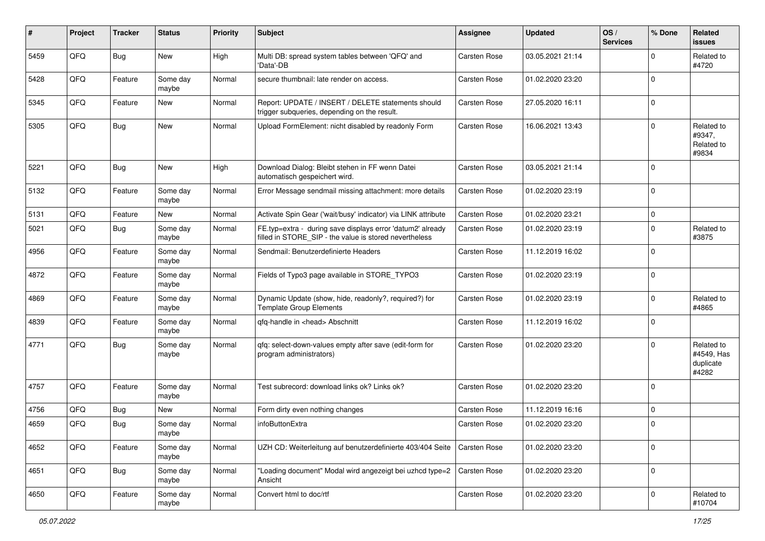| $\sharp$ | Project | <b>Tracker</b> | <b>Status</b>     | <b>Priority</b> | Subject                                                                                                              | <b>Assignee</b> | <b>Updated</b>   | OS/<br><b>Services</b> | % Done      | Related<br><b>issues</b>                       |
|----------|---------|----------------|-------------------|-----------------|----------------------------------------------------------------------------------------------------------------------|-----------------|------------------|------------------------|-------------|------------------------------------------------|
| 5459     | QFQ     | <b>Bug</b>     | New               | High            | Multi DB: spread system tables between 'QFQ' and<br>'Data'-DB                                                        | Carsten Rose    | 03.05.2021 21:14 |                        | $\mathbf 0$ | Related to<br>#4720                            |
| 5428     | QFQ     | Feature        | Some day<br>maybe | Normal          | secure thumbnail: late render on access.                                                                             | Carsten Rose    | 01.02.2020 23:20 |                        | $\mathbf 0$ |                                                |
| 5345     | QFQ     | Feature        | New               | Normal          | Report: UPDATE / INSERT / DELETE statements should<br>trigger subqueries, depending on the result.                   | Carsten Rose    | 27.05.2020 16:11 |                        | $\mathbf 0$ |                                                |
| 5305     | QFQ     | <b>Bug</b>     | New               | Normal          | Upload FormElement: nicht disabled by readonly Form                                                                  | Carsten Rose    | 16.06.2021 13:43 |                        | $\pmb{0}$   | Related to<br>#9347,<br>Related to<br>#9834    |
| 5221     | QFQ     | <b>Bug</b>     | <b>New</b>        | High            | Download Dialog: Bleibt stehen in FF wenn Datei<br>automatisch gespeichert wird.                                     | Carsten Rose    | 03.05.2021 21:14 |                        | $\mathbf 0$ |                                                |
| 5132     | QFQ     | Feature        | Some day<br>maybe | Normal          | Error Message sendmail missing attachment: more details                                                              | Carsten Rose    | 01.02.2020 23:19 |                        | $\mathbf 0$ |                                                |
| 5131     | QFQ     | Feature        | New               | Normal          | Activate Spin Gear ('wait/busy' indicator) via LINK attribute                                                        | Carsten Rose    | 01.02.2020 23:21 |                        | $\pmb{0}$   |                                                |
| 5021     | QFQ     | <b>Bug</b>     | Some day<br>maybe | Normal          | FE.typ=extra - during save displays error 'datum2' already<br>filled in STORE_SIP - the value is stored nevertheless | Carsten Rose    | 01.02.2020 23:19 |                        | 0           | Related to<br>#3875                            |
| 4956     | QFQ     | Feature        | Some day<br>maybe | Normal          | Sendmail: Benutzerdefinierte Headers                                                                                 | Carsten Rose    | 11.12.2019 16:02 |                        | $\mathbf 0$ |                                                |
| 4872     | QFQ     | Feature        | Some day<br>maybe | Normal          | Fields of Typo3 page available in STORE_TYPO3                                                                        | Carsten Rose    | 01.02.2020 23:19 |                        | $\pmb{0}$   |                                                |
| 4869     | QFQ     | Feature        | Some day<br>maybe | Normal          | Dynamic Update (show, hide, readonly?, required?) for<br><b>Template Group Elements</b>                              | Carsten Rose    | 01.02.2020 23:19 |                        | $\mathbf 0$ | Related to<br>#4865                            |
| 4839     | QFQ     | Feature        | Some day<br>maybe | Normal          | qfq-handle in <head> Abschnitt</head>                                                                                | Carsten Rose    | 11.12.2019 16:02 |                        | $\mathbf 0$ |                                                |
| 4771     | QFQ     | <b>Bug</b>     | Some day<br>maybe | Normal          | qfq: select-down-values empty after save (edit-form for<br>program administrators)                                   | Carsten Rose    | 01.02.2020 23:20 |                        | $\Omega$    | Related to<br>#4549, Has<br>duplicate<br>#4282 |
| 4757     | QFQ     | Feature        | Some day<br>maybe | Normal          | Test subrecord: download links ok? Links ok?                                                                         | Carsten Rose    | 01.02.2020 23:20 |                        | $\mathbf 0$ |                                                |
| 4756     | QFQ     | <b>Bug</b>     | New               | Normal          | Form dirty even nothing changes                                                                                      | Carsten Rose    | 11.12.2019 16:16 |                        | $\pmb{0}$   |                                                |
| 4659     | QFQ     | Bug            | Some day<br>maybe | Normal          | infoButtonExtra                                                                                                      | Carsten Rose    | 01.02.2020 23:20 |                        | $\mathbf 0$ |                                                |
| 4652     | QFQ     | Feature        | Some day<br>maybe | Normal          | UZH CD: Weiterleitung auf benutzerdefinierte 403/404 Seite                                                           | Carsten Rose    | 01.02.2020 23:20 |                        | $\pmb{0}$   |                                                |
| 4651     | QFQ     | <b>Bug</b>     | Some day<br>maybe | Normal          | "Loading document" Modal wird angezeigt bei uzhcd type=2<br>Ansicht                                                  | Carsten Rose    | 01.02.2020 23:20 |                        | $\pmb{0}$   |                                                |
| 4650     | QFQ     | Feature        | Some day<br>maybe | Normal          | Convert html to doc/rtf                                                                                              | Carsten Rose    | 01.02.2020 23:20 |                        | $\pmb{0}$   | Related to<br>#10704                           |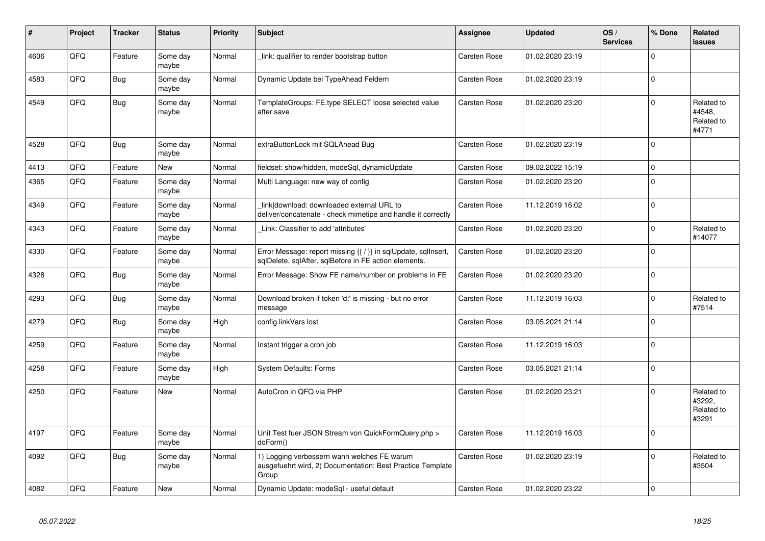| #    | Project | <b>Tracker</b> | <b>Status</b>     | <b>Priority</b> | <b>Subject</b>                                                                                                          | Assignee     | <b>Updated</b>   | OS/<br><b>Services</b> | % Done      | Related<br><b>issues</b>                    |
|------|---------|----------------|-------------------|-----------------|-------------------------------------------------------------------------------------------------------------------------|--------------|------------------|------------------------|-------------|---------------------------------------------|
| 4606 | QFQ     | Feature        | Some day<br>maybe | Normal          | link: qualifier to render bootstrap button                                                                              | Carsten Rose | 01.02.2020 23:19 |                        | $\Omega$    |                                             |
| 4583 | QFQ     | <b>Bug</b>     | Some day<br>maybe | Normal          | Dynamic Update bei TypeAhead Feldern                                                                                    | Carsten Rose | 01.02.2020 23:19 |                        | $\mathbf 0$ |                                             |
| 4549 | QFQ     | <b>Bug</b>     | Some day<br>maybe | Normal          | TemplateGroups: FE.type SELECT loose selected value<br>after save                                                       | Carsten Rose | 01.02.2020 23:20 |                        | $\Omega$    | Related to<br>#4548.<br>Related to<br>#4771 |
| 4528 | QFQ     | <b>Bug</b>     | Some day<br>maybe | Normal          | extraButtonLock mit SQLAhead Bug                                                                                        | Carsten Rose | 01.02.2020 23:19 |                        | $\Omega$    |                                             |
| 4413 | QFQ     | Feature        | New               | Normal          | fieldset: show/hidden, modeSql, dynamicUpdate                                                                           | Carsten Rose | 09.02.2022 15:19 |                        | $\Omega$    |                                             |
| 4365 | QFQ     | Feature        | Some day<br>maybe | Normal          | Multi Language: new way of config                                                                                       | Carsten Rose | 01.02.2020 23:20 |                        | $\mathbf 0$ |                                             |
| 4349 | QFQ     | Feature        | Some day<br>maybe | Normal          | link download: downloaded external URL to<br>deliver/concatenate - check mimetipe and handle it correctly               | Carsten Rose | 11.12.2019 16:02 |                        | $\mathbf 0$ |                                             |
| 4343 | QFQ     | Feature        | Some day<br>maybe | Normal          | Link: Classifier to add 'attributes'                                                                                    | Carsten Rose | 01.02.2020 23:20 |                        | $\mathbf 0$ | Related to<br>#14077                        |
| 4330 | QFQ     | Feature        | Some day<br>maybe | Normal          | Error Message: report missing {{ / }} in sqlUpdate, sqlInsert,<br>sqlDelete, sqlAfter, sqlBefore in FE action elements. | Carsten Rose | 01.02.2020 23:20 |                        | $\mathbf 0$ |                                             |
| 4328 | QFQ     | Bug            | Some day<br>maybe | Normal          | Error Message: Show FE name/number on problems in FE                                                                    | Carsten Rose | 01.02.2020 23:20 |                        | $\mathbf 0$ |                                             |
| 4293 | QFQ     | Bug            | Some day<br>maybe | Normal          | Download broken if token 'd:' is missing - but no error<br>message                                                      | Carsten Rose | 11.12.2019 16:03 |                        | $\mathbf 0$ | Related to<br>#7514                         |
| 4279 | QFQ     | <b>Bug</b>     | Some day<br>maybe | High            | config.linkVars lost                                                                                                    | Carsten Rose | 03.05.2021 21:14 |                        | $\Omega$    |                                             |
| 4259 | QFQ     | Feature        | Some day<br>maybe | Normal          | Instant trigger a cron job                                                                                              | Carsten Rose | 11.12.2019 16:03 |                        | $\mathbf 0$ |                                             |
| 4258 | QFQ     | Feature        | Some day<br>maybe | High            | System Defaults: Forms                                                                                                  | Carsten Rose | 03.05.2021 21:14 |                        | $\mathbf 0$ |                                             |
| 4250 | QFQ     | Feature        | New               | Normal          | AutoCron in QFQ via PHP                                                                                                 | Carsten Rose | 01.02.2020 23:21 |                        | $\mathbf 0$ | Related to<br>#3292,<br>Related to<br>#3291 |
| 4197 | QFQ     | Feature        | Some day<br>maybe | Normal          | Unit Test fuer JSON Stream von QuickFormQuery.php ><br>doForm()                                                         | Carsten Rose | 11.12.2019 16:03 |                        | $\mathbf 0$ |                                             |
| 4092 | QFQ     | Bug            | Some day<br>maybe | Normal          | 1) Logging verbessern wann welches FE warum<br>ausgefuehrt wird, 2) Documentation: Best Practice Template<br>Group      | Carsten Rose | 01.02.2020 23:19 |                        | $\Omega$    | Related to<br>#3504                         |
| 4082 | QFQ     | Feature        | <b>New</b>        | Normal          | Dynamic Update: modeSql - useful default                                                                                | Carsten Rose | 01.02.2020 23:22 |                        | $\mathbf 0$ |                                             |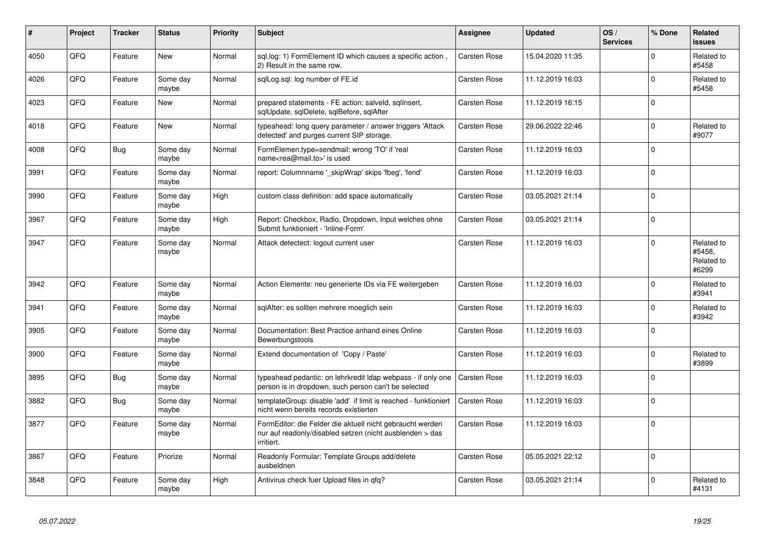| #    | Project | <b>Tracker</b> | <b>Status</b>     | <b>Priority</b> | <b>Subject</b>                                                                                                                      | <b>Assignee</b>     | <b>Updated</b>   | OS/<br><b>Services</b> | % Done      | Related<br><b>issues</b>                    |
|------|---------|----------------|-------------------|-----------------|-------------------------------------------------------------------------------------------------------------------------------------|---------------------|------------------|------------------------|-------------|---------------------------------------------|
| 4050 | QFQ     | Feature        | <b>New</b>        | Normal          | sql.log: 1) FormElement ID which causes a specific action,<br>2) Result in the same row.                                            | <b>Carsten Rose</b> | 15.04.2020 11:35 |                        | $\mathbf 0$ | Related to<br>#5458                         |
| 4026 | QFQ     | Feature        | Some day<br>maybe | Normal          | sglLog.sgl: log number of FE.id                                                                                                     | Carsten Rose        | 11.12.2019 16:03 |                        | $\mathbf 0$ | Related to<br>#5458                         |
| 4023 | QFQ     | Feature        | <b>New</b>        | Normal          | prepared statements - FE action: salveld, sgllnsert,<br>sqlUpdate, sqlDelete, sqlBefore, sqlAfter                                   | <b>Carsten Rose</b> | 11.12.2019 16:15 |                        | $\mathbf 0$ |                                             |
| 4018 | QFQ     | Feature        | <b>New</b>        | Normal          | typeahead: long query parameter / answer triggers 'Attack<br>detected' and purges current SIP storage.                              | Carsten Rose        | 29.06.2022 22:46 |                        | $\mathbf 0$ | Related to<br>#9077                         |
| 4008 | QFQ     | <b>Bug</b>     | Some day<br>maybe | Normal          | FormElemen.type=sendmail: wrong 'TO' if 'real<br>name <rea@mail.to>' is used</rea@mail.to>                                          | Carsten Rose        | 11.12.2019 16:03 |                        | $\Omega$    |                                             |
| 3991 | QFQ     | Feature        | Some day<br>maybe | Normal          | report: Columnname '_skipWrap' skips 'fbeg', 'fend'                                                                                 | Carsten Rose        | 11.12.2019 16:03 |                        | $\mathbf 0$ |                                             |
| 3990 | QFQ     | Feature        | Some day<br>maybe | High            | custom class definition: add space automatically                                                                                    | Carsten Rose        | 03.05.2021 21:14 |                        | $\mathbf 0$ |                                             |
| 3967 | QFQ     | Feature        | Some day<br>maybe | High            | Report: Checkbox, Radio, Dropdown, Input welches ohne<br>Submit funktioniert - 'Inline-Form'                                        | Carsten Rose        | 03.05.2021 21:14 |                        | $\mathbf 0$ |                                             |
| 3947 | QFQ     | Feature        | Some day<br>maybe | Normal          | Attack detectect: logout current user                                                                                               | <b>Carsten Rose</b> | 11.12.2019 16:03 |                        | $\mathbf 0$ | Related to<br>#5458,<br>Related to<br>#6299 |
| 3942 | QFQ     | Feature        | Some day<br>maybe | Normal          | Action Elemente: neu generierte IDs via FE weitergeben                                                                              | <b>Carsten Rose</b> | 11.12.2019 16:03 |                        | $\Omega$    | Related to<br>#3941                         |
| 3941 | QFQ     | Feature        | Some day<br>maybe | Normal          | sqlAfter: es sollten mehrere moeglich sein                                                                                          | Carsten Rose        | 11.12.2019 16:03 |                        | $\Omega$    | Related to<br>#3942                         |
| 3905 | QFQ     | Feature        | Some day<br>maybe | Normal          | Documentation: Best Practice anhand eines Online<br>Bewerbungstools                                                                 | <b>Carsten Rose</b> | 11.12.2019 16:03 |                        | $\mathbf 0$ |                                             |
| 3900 | QFQ     | Feature        | Some day<br>maybe | Normal          | Extend documentation of 'Copy / Paste'                                                                                              | Carsten Rose        | 11.12.2019 16:03 |                        | $\mathbf 0$ | Related to<br>#3899                         |
| 3895 | QFQ     | Bug            | Some day<br>maybe | Normal          | typeahead pedantic: on lehrkredit Idap webpass - if only one<br>person is in dropdown, such person can't be selected                | Carsten Rose        | 11.12.2019 16:03 |                        | $\mathbf 0$ |                                             |
| 3882 | QFQ     | Bug            | Some day<br>maybe | Normal          | templateGroup: disable 'add' if limit is reached - funktioniert<br>nicht wenn bereits records existierten                           | Carsten Rose        | 11.12.2019 16:03 |                        | $\mathbf 0$ |                                             |
| 3877 | QFQ     | Feature        | Some day<br>maybe | Normal          | FormEditor: die Felder die aktuell nicht gebraucht werden<br>nur auf readonly/disabled setzen (nicht ausblenden > das<br>irritiert. | Carsten Rose        | 11.12.2019 16:03 |                        | $\mathbf 0$ |                                             |
| 3867 | QFQ     | Feature        | Priorize          | Normal          | Readonly Formular: Template Groups add/delete<br>ausbeldnen                                                                         | <b>Carsten Rose</b> | 05.05.2021 22:12 |                        | $\mathbf 0$ |                                             |
| 3848 | QFQ     | Feature        | Some day<br>maybe | High            | Antivirus check fuer Upload files in qfq?                                                                                           | Carsten Rose        | 03.05.2021 21:14 |                        | $\mathbf 0$ | Related to<br>#4131                         |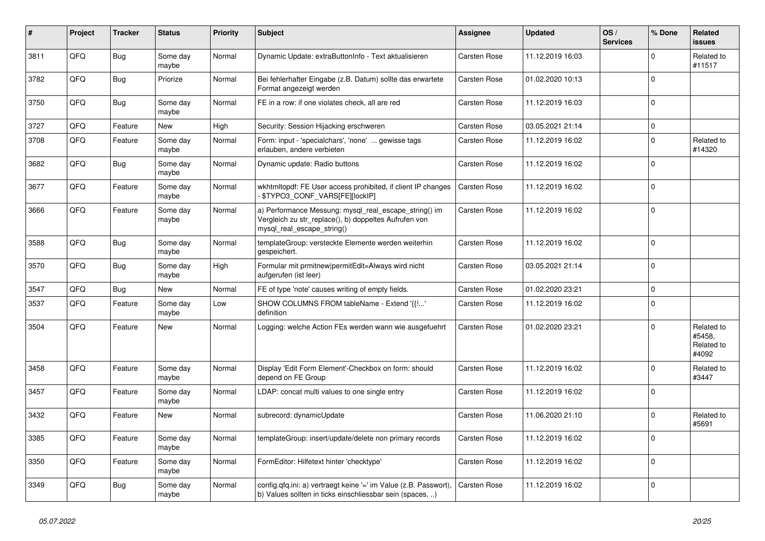| #    | Project | <b>Tracker</b> | <b>Status</b>     | <b>Priority</b> | <b>Subject</b>                                                                                                                               | Assignee            | <b>Updated</b>   | OS/<br><b>Services</b> | % Done      | Related<br><b>issues</b>                    |
|------|---------|----------------|-------------------|-----------------|----------------------------------------------------------------------------------------------------------------------------------------------|---------------------|------------------|------------------------|-------------|---------------------------------------------|
| 3811 | QFQ     | <b>Bug</b>     | Some day<br>maybe | Normal          | Dynamic Update: extraButtonInfo - Text aktualisieren                                                                                         | Carsten Rose        | 11.12.2019 16:03 |                        | $\mathbf 0$ | Related to<br>#11517                        |
| 3782 | QFQ     | Bug            | Priorize          | Normal          | Bei fehlerhafter Eingabe (z.B. Datum) sollte das erwartete<br>Format angezeigt werden                                                        | Carsten Rose        | 01.02.2020 10:13 |                        | $\Omega$    |                                             |
| 3750 | QFQ     | Bug            | Some day<br>maybe | Normal          | FE in a row: if one violates check, all are red                                                                                              | Carsten Rose        | 11.12.2019 16:03 |                        | $\Omega$    |                                             |
| 3727 | QFQ     | Feature        | <b>New</b>        | High            | Security: Session Hijacking erschweren                                                                                                       | <b>Carsten Rose</b> | 03.05.2021 21:14 |                        | $\mathbf 0$ |                                             |
| 3708 | QFQ     | Feature        | Some day<br>maybe | Normal          | Form: input - 'specialchars', 'none'  gewisse tags<br>erlauben, andere verbieten                                                             | Carsten Rose        | 11.12.2019 16:02 |                        | $\Omega$    | Related to<br>#14320                        |
| 3682 | QFQ     | <b>Bug</b>     | Some day<br>maybe | Normal          | Dynamic update: Radio buttons                                                                                                                | Carsten Rose        | 11.12.2019 16:02 |                        | $\Omega$    |                                             |
| 3677 | QFQ     | Feature        | Some day<br>maybe | Normal          | wkhtmltopdf: FE User access prohibited, if client IP changes<br>\$TYPO3_CONF_VARS[FE][lockIP]                                                | Carsten Rose        | 11.12.2019 16:02 |                        | $\mathbf 0$ |                                             |
| 3666 | QFQ     | Feature        | Some day<br>maybe | Normal          | a) Performance Messung: mysql_real_escape_string() im<br>Vergleich zu str_replace(), b) doppeltes Aufrufen von<br>mysql real escape string() | Carsten Rose        | 11.12.2019 16:02 |                        | $\Omega$    |                                             |
| 3588 | QFQ     | Bug            | Some day<br>maybe | Normal          | templateGroup: versteckte Elemente werden weiterhin<br>gespeichert.                                                                          | Carsten Rose        | 11.12.2019 16:02 |                        | $\mathbf 0$ |                                             |
| 3570 | QFQ     | Bug            | Some day<br>maybe | High            | Formular mit prmitnew permitEdit=Always wird nicht<br>aufgerufen (ist leer)                                                                  | Carsten Rose        | 03.05.2021 21:14 |                        | $\mathbf 0$ |                                             |
| 3547 | QFQ     | <b>Bug</b>     | <b>New</b>        | Normal          | FE of type 'note' causes writing of empty fields.                                                                                            | Carsten Rose        | 01.02.2020 23:21 |                        | $\Omega$    |                                             |
| 3537 | QFQ     | Feature        | Some day<br>maybe | Low             | SHOW COLUMNS FROM tableName - Extend '{{!'<br>definition                                                                                     | Carsten Rose        | 11.12.2019 16:02 |                        | $\Omega$    |                                             |
| 3504 | QFQ     | Feature        | <b>New</b>        | Normal          | Logging: welche Action FEs werden wann wie ausgefuehrt                                                                                       | <b>Carsten Rose</b> | 01.02.2020 23:21 |                        | $\mathbf 0$ | Related to<br>#5458,<br>Related to<br>#4092 |
| 3458 | QFQ     | Feature        | Some day<br>maybe | Normal          | Display 'Edit Form Element'-Checkbox on form: should<br>depend on FE Group                                                                   | Carsten Rose        | 11.12.2019 16:02 |                        | $\Omega$    | Related to<br>#3447                         |
| 3457 | QFQ     | Feature        | Some day<br>maybe | Normal          | LDAP: concat multi values to one single entry                                                                                                | Carsten Rose        | 11.12.2019 16:02 |                        | $\mathbf 0$ |                                             |
| 3432 | QFQ     | Feature        | New               | Normal          | subrecord: dynamicUpdate                                                                                                                     | Carsten Rose        | 11.06.2020 21:10 |                        | $\mathbf 0$ | Related to<br>#5691                         |
| 3385 | QFQ     | Feature        | Some day<br>maybe | Normal          | templateGroup: insert/update/delete non primary records                                                                                      | <b>Carsten Rose</b> | 11.12.2019 16:02 |                        | $\Omega$    |                                             |
| 3350 | QFQ     | Feature        | Some day<br>maybe | Normal          | FormEditor: Hilfetext hinter 'checktype'                                                                                                     | Carsten Rose        | 11.12.2019 16:02 |                        | $\mathbf 0$ |                                             |
| 3349 | QFQ     | Bug            | Some day<br>maybe | Normal          | config.qfq.ini: a) vertraegt keine '=' im Value (z.B. Passwort),<br>b) Values sollten in ticks einschliessbar sein (spaces, )                | Carsten Rose        | 11.12.2019 16:02 |                        | $\mathbf 0$ |                                             |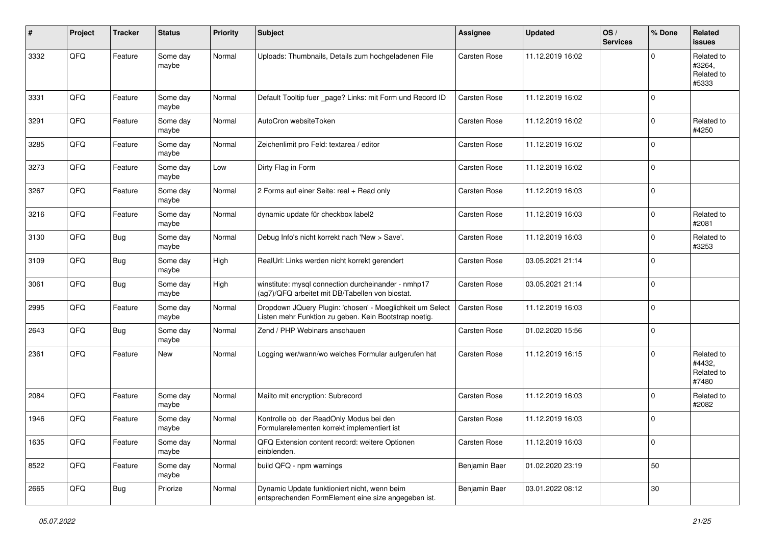| #    | Project | <b>Tracker</b> | <b>Status</b>     | <b>Priority</b> | <b>Subject</b>                                                                                                     | <b>Assignee</b>     | <b>Updated</b>   | OS/<br><b>Services</b> | % Done      | Related<br>issues                           |
|------|---------|----------------|-------------------|-----------------|--------------------------------------------------------------------------------------------------------------------|---------------------|------------------|------------------------|-------------|---------------------------------------------|
| 3332 | QFQ     | Feature        | Some day<br>maybe | Normal          | Uploads: Thumbnails, Details zum hochgeladenen File                                                                | <b>Carsten Rose</b> | 11.12.2019 16:02 |                        | $\Omega$    | Related to<br>#3264.<br>Related to<br>#5333 |
| 3331 | QFQ     | Feature        | Some day<br>maybe | Normal          | Default Tooltip fuer _page? Links: mit Form und Record ID                                                          | Carsten Rose        | 11.12.2019 16:02 |                        | $\Omega$    |                                             |
| 3291 | QFQ     | Feature        | Some day<br>maybe | Normal          | AutoCron websiteToken                                                                                              | <b>Carsten Rose</b> | 11.12.2019 16:02 |                        | $\Omega$    | Related to<br>#4250                         |
| 3285 | QFQ     | Feature        | Some day<br>maybe | Normal          | Zeichenlimit pro Feld: textarea / editor                                                                           | <b>Carsten Rose</b> | 11.12.2019 16:02 |                        | $\Omega$    |                                             |
| 3273 | QFQ     | Feature        | Some day<br>maybe | Low             | Dirty Flag in Form                                                                                                 | <b>Carsten Rose</b> | 11.12.2019 16:02 |                        | $\Omega$    |                                             |
| 3267 | QFQ     | Feature        | Some day<br>maybe | Normal          | 2 Forms auf einer Seite: real + Read only                                                                          | <b>Carsten Rose</b> | 11.12.2019 16:03 |                        | $\Omega$    |                                             |
| 3216 | QFQ     | Feature        | Some day<br>maybe | Normal          | dynamic update für checkbox label2                                                                                 | <b>Carsten Rose</b> | 11.12.2019 16:03 |                        | $\Omega$    | Related to<br>#2081                         |
| 3130 | QFQ     | <b>Bug</b>     | Some day<br>maybe | Normal          | Debug Info's nicht korrekt nach 'New > Save'.                                                                      | <b>Carsten Rose</b> | 11.12.2019 16:03 |                        | $\mathbf 0$ | Related to<br>#3253                         |
| 3109 | QFQ     | <b>Bug</b>     | Some day<br>maybe | High            | RealUrl: Links werden nicht korrekt gerendert                                                                      | Carsten Rose        | 03.05.2021 21:14 |                        | $\Omega$    |                                             |
| 3061 | QFQ     | <b>Bug</b>     | Some day<br>maybe | High            | winstitute: mysql connection durcheinander - nmhp17<br>(ag7)/QFQ arbeitet mit DB/Tabellen von biostat.             | Carsten Rose        | 03.05.2021 21:14 |                        | $\mathbf 0$ |                                             |
| 2995 | QFQ     | Feature        | Some day<br>maybe | Normal          | Dropdown JQuery Plugin: 'chosen' - Moeglichkeit um Select<br>Listen mehr Funktion zu geben. Kein Bootstrap noetig. | Carsten Rose        | 11.12.2019 16:03 |                        | $\mathbf 0$ |                                             |
| 2643 | QFQ     | Bug            | Some day<br>maybe | Normal          | Zend / PHP Webinars anschauen                                                                                      | <b>Carsten Rose</b> | 01.02.2020 15:56 |                        | $\Omega$    |                                             |
| 2361 | QFQ     | Feature        | New               | Normal          | Logging wer/wann/wo welches Formular aufgerufen hat                                                                | <b>Carsten Rose</b> | 11.12.2019 16:15 |                        | $\Omega$    | Related to<br>#4432,<br>Related to<br>#7480 |
| 2084 | QFQ     | Feature        | Some day<br>maybe | Normal          | Mailto mit encryption: Subrecord                                                                                   | Carsten Rose        | 11.12.2019 16:03 |                        | $\mathbf 0$ | Related to<br>#2082                         |
| 1946 | QFQ     | Feature        | Some day<br>maybe | Normal          | Kontrolle ob der ReadOnly Modus bei den<br>Formularelementen korrekt implementiert ist                             | Carsten Rose        | 11.12.2019 16:03 |                        | $\Omega$    |                                             |
| 1635 | QFG     | Feature        | Some day<br>maybe | Normal          | QFQ Extension content record: weitere Optionen<br>einblenden.                                                      | Carsten Rose        | 11.12.2019 16:03 |                        | 0           |                                             |
| 8522 | QFG     | Feature        | Some day<br>maybe | Normal          | build QFQ - npm warnings                                                                                           | Benjamin Baer       | 01.02.2020 23:19 |                        | 50          |                                             |
| 2665 | QFQ     | Bug            | Priorize          | Normal          | Dynamic Update funktioniert nicht, wenn beim<br>entsprechenden FormElement eine size angegeben ist.                | Benjamin Baer       | 03.01.2022 08:12 |                        | $30\,$      |                                             |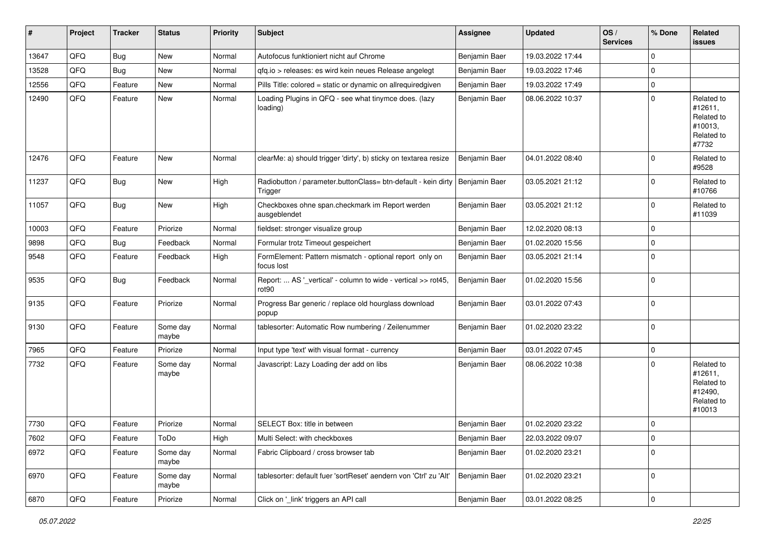| #     | Project | <b>Tracker</b> | <b>Status</b>     | <b>Priority</b> | <b>Subject</b>                                                                     | Assignee      | <b>Updated</b>   | OS/<br><b>Services</b> | % Done      | Related<br>issues                                                      |
|-------|---------|----------------|-------------------|-----------------|------------------------------------------------------------------------------------|---------------|------------------|------------------------|-------------|------------------------------------------------------------------------|
| 13647 | QFQ     | <b>Bug</b>     | <b>New</b>        | Normal          | Autofocus funktioniert nicht auf Chrome                                            | Benjamin Baer | 19.03.2022 17:44 |                        | $\Omega$    |                                                                        |
| 13528 | QFQ     | <b>Bug</b>     | New               | Normal          | gfg.io > releases: es wird kein neues Release angelegt                             | Benjamin Baer | 19.03.2022 17:46 |                        | $\Omega$    |                                                                        |
| 12556 | QFQ     | Feature        | New               | Normal          | Pills Title: colored = static or dynamic on allrequiredgiven                       | Benjamin Baer | 19.03.2022 17:49 |                        | $\Omega$    |                                                                        |
| 12490 | QFQ     | Feature        | New               | Normal          | Loading Plugins in QFQ - see what tinymce does. (lazy<br>loading)                  | Benjamin Baer | 08.06.2022 10:37 |                        | $\Omega$    | Related to<br>#12611,<br>Related to<br>#10013,<br>Related to<br>#7732  |
| 12476 | QFQ     | Feature        | New               | Normal          | clearMe: a) should trigger 'dirty', b) sticky on textarea resize                   | Benjamin Baer | 04.01.2022 08:40 |                        | $\Omega$    | Related to<br>#9528                                                    |
| 11237 | QFQ     | <b>Bug</b>     | <b>New</b>        | High            | Radiobutton / parameter.buttonClass= btn-default - kein dirty<br>Trigger           | Benjamin Baer | 03.05.2021 21:12 |                        | $\Omega$    | Related to<br>#10766                                                   |
| 11057 | QFQ     | <b>Bug</b>     | New               | High            | Checkboxes ohne span.checkmark im Report werden<br>ausgeblendet                    | Benjamin Baer | 03.05.2021 21:12 |                        | $\Omega$    | Related to<br>#11039                                                   |
| 10003 | QFQ     | Feature        | Priorize          | Normal          | fieldset: stronger visualize group                                                 | Benjamin Baer | 12.02.2020 08:13 |                        | $\Omega$    |                                                                        |
| 9898  | QFQ     | <b>Bug</b>     | Feedback          | Normal          | Formular trotz Timeout gespeichert                                                 | Benjamin Baer | 01.02.2020 15:56 |                        | $\Omega$    |                                                                        |
| 9548  | QFQ     | Feature        | Feedback          | High            | FormElement: Pattern mismatch - optional report only on<br>focus lost              | Benjamin Baer | 03.05.2021 21:14 |                        | $\Omega$    |                                                                        |
| 9535  | QFQ     | <b>Bug</b>     | Feedback          | Normal          | Report:  AS '_vertical' - column to wide - vertical >> rot45,<br>rot <sub>90</sub> | Benjamin Baer | 01.02.2020 15:56 |                        | $\Omega$    |                                                                        |
| 9135  | QFQ     | Feature        | Priorize          | Normal          | Progress Bar generic / replace old hourglass download<br>popup                     | Benjamin Baer | 03.01.2022 07:43 |                        | $\Omega$    |                                                                        |
| 9130  | QFQ     | Feature        | Some day<br>maybe | Normal          | tablesorter: Automatic Row numbering / Zeilenummer                                 | Benjamin Baer | 01.02.2020 23:22 |                        | $\Omega$    |                                                                        |
| 7965  | QFQ     | Feature        | Priorize          | Normal          | Input type 'text' with visual format - currency                                    | Benjamin Baer | 03.01.2022 07:45 |                        | $\mathbf 0$ |                                                                        |
| 7732  | QFQ     | Feature        | Some day<br>maybe | Normal          | Javascript: Lazy Loading der add on libs                                           | Benjamin Baer | 08.06.2022 10:38 |                        | $\Omega$    | Related to<br>#12611,<br>Related to<br>#12490,<br>Related to<br>#10013 |
| 7730  | QFQ     | Feature        | Priorize          | Normal          | SELECT Box: title in between                                                       | Benjamin Baer | 01.02.2020 23:22 |                        | $\Omega$    |                                                                        |
| 7602  | QFQ     | Feature        | ToDo              | High            | Multi Select: with checkboxes                                                      | Benjamin Baer | 22.03.2022 09:07 |                        | 0           |                                                                        |
| 6972  | QFQ     | Feature        | Some day<br>maybe | Normal          | Fabric Clipboard / cross browser tab                                               | Benjamin Baer | 01.02.2020 23:21 |                        | $\mathbf 0$ |                                                                        |
| 6970  | QFQ     | Feature        | Some day<br>maybe | Normal          | tablesorter: default fuer 'sortReset' aendern von 'Ctrl' zu 'Alt'                  | Benjamin Baer | 01.02.2020 23:21 |                        | $\mathbf 0$ |                                                                        |
| 6870  | QFQ     | Feature        | Priorize          | Normal          | Click on '_link' triggers an API call                                              | Benjamin Baer | 03.01.2022 08:25 |                        | $\pmb{0}$   |                                                                        |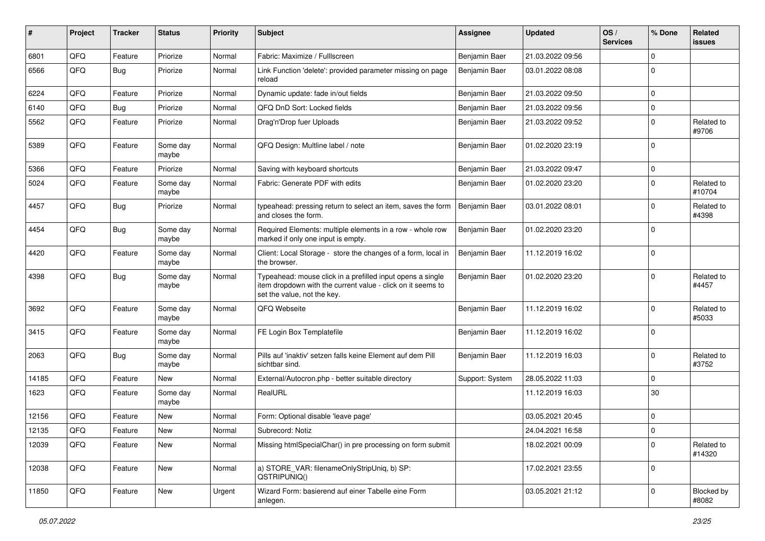| #     | Project | <b>Tracker</b> | <b>Status</b>     | <b>Priority</b> | <b>Subject</b>                                                                                                                                           | <b>Assignee</b> | <b>Updated</b>   | OS/<br><b>Services</b> | % Done      | Related<br>issues    |
|-------|---------|----------------|-------------------|-----------------|----------------------------------------------------------------------------------------------------------------------------------------------------------|-----------------|------------------|------------------------|-------------|----------------------|
| 6801  | QFQ     | Feature        | Priorize          | Normal          | Fabric: Maximize / Fulllscreen                                                                                                                           | Benjamin Baer   | 21.03.2022 09:56 |                        | $\Omega$    |                      |
| 6566  | QFQ     | Bug            | Priorize          | Normal          | Link Function 'delete': provided parameter missing on page<br>reload                                                                                     | Benjamin Baer   | 03.01.2022 08:08 |                        | $\Omega$    |                      |
| 6224  | QFQ     | Feature        | Priorize          | Normal          | Dynamic update: fade in/out fields                                                                                                                       | Benjamin Baer   | 21.03.2022 09:50 |                        | $\mathbf 0$ |                      |
| 6140  | QFQ     | Bug            | Priorize          | Normal          | QFQ DnD Sort: Locked fields                                                                                                                              | Benjamin Baer   | 21.03.2022 09:56 |                        | $\mathbf 0$ |                      |
| 5562  | QFQ     | Feature        | Priorize          | Normal          | Drag'n'Drop fuer Uploads                                                                                                                                 | Benjamin Baer   | 21.03.2022 09:52 |                        | $\mathbf 0$ | Related to<br>#9706  |
| 5389  | QFQ     | Feature        | Some day<br>maybe | Normal          | QFQ Design: Multline label / note                                                                                                                        | Benjamin Baer   | 01.02.2020 23:19 |                        | $\Omega$    |                      |
| 5366  | QFQ     | Feature        | Priorize          | Normal          | Saving with keyboard shortcuts                                                                                                                           | Benjamin Baer   | 21.03.2022 09:47 |                        | $\mathbf 0$ |                      |
| 5024  | QFQ     | Feature        | Some day<br>maybe | Normal          | Fabric: Generate PDF with edits                                                                                                                          | Benjamin Baer   | 01.02.2020 23:20 |                        | $\mathbf 0$ | Related to<br>#10704 |
| 4457  | QFQ     | <b>Bug</b>     | Priorize          | Normal          | typeahead: pressing return to select an item, saves the form<br>and closes the form.                                                                     | Benjamin Baer   | 03.01.2022 08:01 |                        | $\mathbf 0$ | Related to<br>#4398  |
| 4454  | QFQ     | <b>Bug</b>     | Some day<br>maybe | Normal          | Required Elements: multiple elements in a row - whole row<br>marked if only one input is empty.                                                          | Benjamin Baer   | 01.02.2020 23:20 |                        | $\mathbf 0$ |                      |
| 4420  | QFQ     | Feature        | Some day<br>maybe | Normal          | Client: Local Storage - store the changes of a form, local in<br>the browser.                                                                            | Benjamin Baer   | 11.12.2019 16:02 |                        | $\mathbf 0$ |                      |
| 4398  | QFQ     | Bug            | Some day<br>maybe | Normal          | Typeahead: mouse click in a prefilled input opens a single<br>item dropdown with the current value - click on it seems to<br>set the value, not the key. | Benjamin Baer   | 01.02.2020 23:20 |                        | $\mathbf 0$ | Related to<br>#4457  |
| 3692  | QFQ     | Feature        | Some day<br>maybe | Normal          | QFQ Webseite                                                                                                                                             | Benjamin Baer   | 11.12.2019 16:02 |                        | $\mathbf 0$ | Related to<br>#5033  |
| 3415  | QFQ     | Feature        | Some day<br>maybe | Normal          | FE Login Box Templatefile                                                                                                                                | Benjamin Baer   | 11.12.2019 16:02 |                        | $\mathbf 0$ |                      |
| 2063  | QFQ     | <b>Bug</b>     | Some day<br>maybe | Normal          | Pills auf 'inaktiv' setzen falls keine Element auf dem Pill<br>sichtbar sind.                                                                            | Benjamin Baer   | 11.12.2019 16:03 |                        | $\Omega$    | Related to<br>#3752  |
| 14185 | QFQ     | Feature        | New               | Normal          | External/Autocron.php - better suitable directory                                                                                                        | Support: System | 28.05.2022 11:03 |                        | $\mathbf 0$ |                      |
| 1623  | QFQ     | Feature        | Some day<br>maybe | Normal          | RealURL                                                                                                                                                  |                 | 11.12.2019 16:03 |                        | 30          |                      |
| 12156 | QFQ     | Feature        | <b>New</b>        | Normal          | Form: Optional disable 'leave page'                                                                                                                      |                 | 03.05.2021 20:45 |                        | $\mathbf 0$ |                      |
| 12135 | QFQ     | Feature        | New               | Normal          | Subrecord: Notiz                                                                                                                                         |                 | 24.04.2021 16:58 |                        | $\Omega$    |                      |
| 12039 | QFQ     | Feature        | New               | Normal          | Missing htmlSpecialChar() in pre processing on form submit                                                                                               |                 | 18.02.2021 00:09 |                        | $\mathbf 0$ | Related to<br>#14320 |
| 12038 | QFQ     | Feature        | New               | Normal          | a) STORE_VAR: filenameOnlyStripUniq, b) SP:<br>QSTRIPUNIQ()                                                                                              |                 | 17.02.2021 23:55 |                        | $\mathbf 0$ |                      |
| 11850 | QFQ     | Feature        | New               | Urgent          | Wizard Form: basierend auf einer Tabelle eine Form<br>anlegen.                                                                                           |                 | 03.05.2021 21:12 |                        | $\mathbf 0$ | Blocked by<br>#8082  |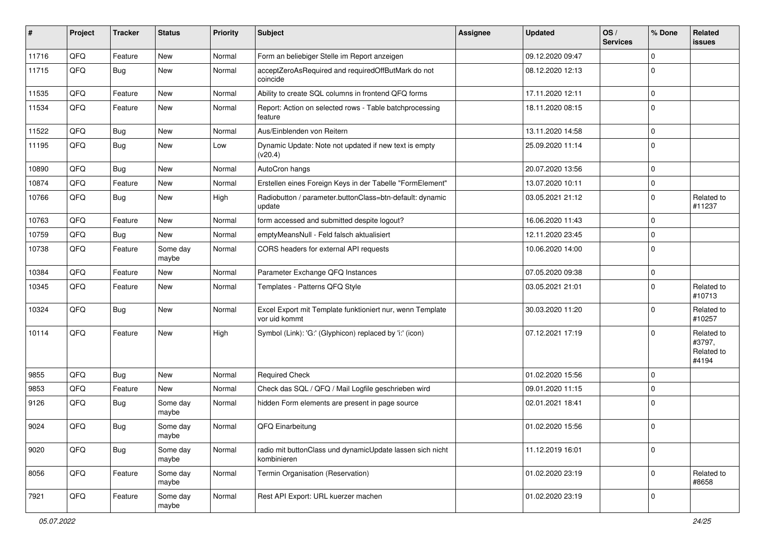| #     | Project | <b>Tracker</b> | <b>Status</b>     | <b>Priority</b> | <b>Subject</b>                                                             | Assignee | <b>Updated</b>   | OS/<br><b>Services</b> | % Done      | Related<br>issues                           |
|-------|---------|----------------|-------------------|-----------------|----------------------------------------------------------------------------|----------|------------------|------------------------|-------------|---------------------------------------------|
| 11716 | QFQ     | Feature        | New               | Normal          | Form an beliebiger Stelle im Report anzeigen                               |          | 09.12.2020 09:47 |                        | $\mathbf 0$ |                                             |
| 11715 | QFQ     | <b>Bug</b>     | <b>New</b>        | Normal          | acceptZeroAsRequired and requiredOffButMark do not<br>coincide             |          | 08.12.2020 12:13 |                        | 0           |                                             |
| 11535 | QFQ     | Feature        | New               | Normal          | Ability to create SQL columns in frontend QFQ forms                        |          | 17.11.2020 12:11 |                        | $\mathbf 0$ |                                             |
| 11534 | QFQ     | Feature        | New               | Normal          | Report: Action on selected rows - Table batchprocessing<br>feature         |          | 18.11.2020 08:15 |                        | $\mathbf 0$ |                                             |
| 11522 | QFQ     | Bug            | New               | Normal          | Aus/Einblenden von Reitern                                                 |          | 13.11.2020 14:58 |                        | 0           |                                             |
| 11195 | QFQ     | Bug            | New               | Low             | Dynamic Update: Note not updated if new text is empty<br>(v20.4)           |          | 25.09.2020 11:14 |                        | $\mathbf 0$ |                                             |
| 10890 | QFQ     | Bug            | New               | Normal          | AutoCron hangs                                                             |          | 20.07.2020 13:56 |                        | $\mathbf 0$ |                                             |
| 10874 | QFQ     | Feature        | <b>New</b>        | Normal          | Erstellen eines Foreign Keys in der Tabelle "FormElement"                  |          | 13.07.2020 10:11 |                        | $\mathbf 0$ |                                             |
| 10766 | QFQ     | <b>Bug</b>     | New               | High            | Radiobutton / parameter.buttonClass=btn-default: dynamic<br>update         |          | 03.05.2021 21:12 |                        | $\Omega$    | Related to<br>#11237                        |
| 10763 | QFQ     | Feature        | <b>New</b>        | Normal          | form accessed and submitted despite logout?                                |          | 16.06.2020 11:43 |                        | $\mathbf 0$ |                                             |
| 10759 | QFQ     | Bug            | New               | Normal          | emptyMeansNull - Feld falsch aktualisiert                                  |          | 12.11.2020 23:45 |                        | $\mathbf 0$ |                                             |
| 10738 | QFQ     | Feature        | Some day<br>maybe | Normal          | CORS headers for external API requests                                     |          | 10.06.2020 14:00 |                        | $\Omega$    |                                             |
| 10384 | QFQ     | Feature        | New               | Normal          | Parameter Exchange QFQ Instances                                           |          | 07.05.2020 09:38 |                        | $\mathbf 0$ |                                             |
| 10345 | QFQ     | Feature        | New               | Normal          | Templates - Patterns QFQ Style                                             |          | 03.05.2021 21:01 |                        | $\mathbf 0$ | Related to<br>#10713                        |
| 10324 | QFQ     | <b>Bug</b>     | New               | Normal          | Excel Export mit Template funktioniert nur, wenn Template<br>vor uid kommt |          | 30.03.2020 11:20 |                        | 0           | Related to<br>#10257                        |
| 10114 | QFQ     | Feature        | New               | High            | Symbol (Link): 'G:' (Glyphicon) replaced by 'i:' (icon)                    |          | 07.12.2021 17:19 |                        | $\Omega$    | Related to<br>#3797,<br>Related to<br>#4194 |
| 9855  | QFQ     | Bug            | New               | Normal          | <b>Required Check</b>                                                      |          | 01.02.2020 15:56 |                        | 0           |                                             |
| 9853  | QFQ     | Feature        | <b>New</b>        | Normal          | Check das SQL / QFQ / Mail Logfile geschrieben wird                        |          | 09.01.2020 11:15 |                        | $\mathbf 0$ |                                             |
| 9126  | QFQ     | <b>Bug</b>     | Some day<br>maybe | Normal          | hidden Form elements are present in page source                            |          | 02.01.2021 18:41 |                        | 0           |                                             |
| 9024  | QFQ     | <b>Bug</b>     | Some day<br>maybe | Normal          | QFQ Einarbeitung                                                           |          | 01.02.2020 15:56 |                        | 0           |                                             |
| 9020  | QFQ     | <b>Bug</b>     | Some day<br>maybe | Normal          | radio mit buttonClass und dynamicUpdate lassen sich nicht<br>kombinieren   |          | 11.12.2019 16:01 |                        | $\mathbf 0$ |                                             |
| 8056  | QFQ     | Feature        | Some day<br>maybe | Normal          | Termin Organisation (Reservation)                                          |          | 01.02.2020 23:19 |                        | $\mathbf 0$ | Related to<br>#8658                         |
| 7921  | QFQ     | Feature        | Some day<br>maybe | Normal          | Rest API Export: URL kuerzer machen                                        |          | 01.02.2020 23:19 |                        | $\mathbf 0$ |                                             |